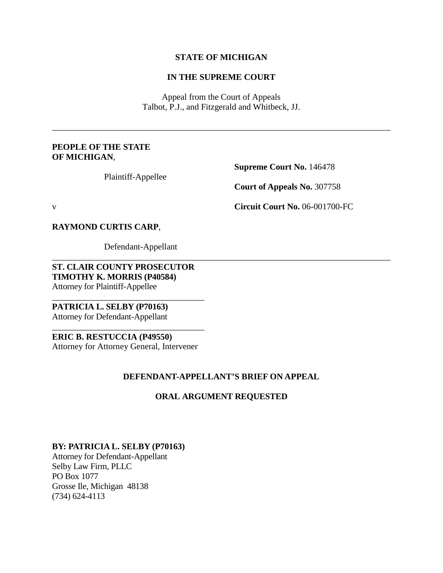#### **STATE OF MICHIGAN**

## **IN THE SUPREME COURT**

Appeal from the Court of Appeals Talbot, P.J., and Fitzgerald and Whitbeck, JJ.

\_\_\_\_\_\_\_\_\_\_\_\_\_\_\_\_\_\_\_\_\_\_\_\_\_\_\_\_\_\_\_\_\_\_\_\_\_\_\_\_\_\_\_\_\_\_\_\_\_\_\_\_\_\_\_\_\_\_\_\_\_\_\_\_\_\_\_\_\_\_\_\_\_\_\_\_\_\_

## **PEOPLE OF THE STATE OF MICHIGAN**,

Plaintiff-Appellee

**Supreme Court No.** 146478

**Court of Appeals No.** 307758

v **Circuit Court No.** 06-001700-FC

#### **RAYMOND CURTIS CARP**,

Defendant-Appellant

**ST. CLAIR COUNTY PROSECUTOR TIMOTHY K. MORRIS (P40584)** Attorney for Plaintiff-Appellee

\_\_\_\_\_\_\_\_\_\_\_\_\_\_\_\_\_\_\_\_\_\_\_\_\_\_\_\_\_\_\_\_\_\_\_\_

\_\_\_\_\_\_\_\_\_\_\_\_\_\_\_\_\_\_\_\_\_\_\_\_\_\_\_\_\_\_\_\_\_\_\_\_

**PATRICIA L. SELBY (P70163)** Attorney for Defendant-Appellant

# **ERIC B. RESTUCCIA (P49550)**

Attorney for Attorney General, Intervener

## **DEFENDANT-APPELLANT'S BRIEF ON APPEAL**

\_\_\_\_\_\_\_\_\_\_\_\_\_\_\_\_\_\_\_\_\_\_\_\_\_\_\_\_\_\_\_\_\_\_\_\_\_\_\_\_\_\_\_\_\_\_\_\_\_\_\_\_\_\_\_\_\_\_\_\_\_\_\_\_\_\_\_\_\_\_\_\_\_\_\_\_\_\_

## **ORAL ARGUMENT REQUESTED**

## **BY: PATRICIA L. SELBY (P70163)**

Attorney for Defendant-Appellant Selby Law Firm, PLLC PO Box 1077 Grosse Ile, Michigan 48138 (734) 624-4113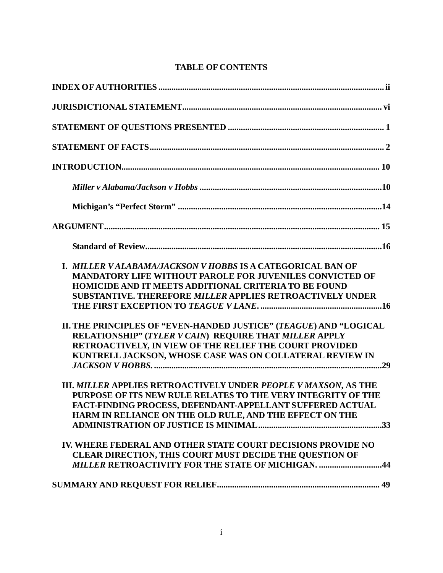# **TABLE OF CONTENTS**

| <b>I. MILLER VALABAMA/JACKSON V HOBBS IS A CATEGORICAL BAN OF</b><br><b>MANDATORY LIFE WITHOUT PAROLE FOR JUVENILES CONVICTED OF</b><br><b>HOMICIDE AND IT MEETS ADDITIONAL CRITERIA TO BE FOUND</b><br><b>SUBSTANTIVE. THEREFORE MILLER APPLIES RETROACTIVELY UNDER</b> |
|--------------------------------------------------------------------------------------------------------------------------------------------------------------------------------------------------------------------------------------------------------------------------|
| II. THE PRINCIPLES OF "EVEN-HANDED JUSTICE" (TEAGUE) AND "LOGICAL<br>RELATIONSHIP" (TYLER V CAIN) REQUIRE THAT MILLER APPLY<br>RETROACTIVELY, IN VIEW OF THE RELIEF THE COURT PROVIDED<br>KUNTRELL JACKSON, WHOSE CASE WAS ON COLLATERAL REVIEW IN                       |
| III. MILLER APPLIES RETROACTIVELY UNDER PEOPLE V MAXSON, AS THE<br>PURPOSE OF ITS NEW RULE RELATES TO THE VERY INTEGRITY OF THE<br>FACT-FINDING PROCESS, DEFENDANT-APPELLANT SUFFERED ACTUAL<br>HARM IN RELIANCE ON THE OLD RULE, AND THE EFFECT ON THE                  |
| IV. WHERE FEDERAL AND OTHER STATE COURT DECISIONS PROVIDE NO<br><b>CLEAR DIRECTION, THIS COURT MUST DECIDE THE QUESTION OF</b><br><b>MILLER RETROACTIVITY FOR THE STATE OF MICHIGAN. 44</b>                                                                              |
|                                                                                                                                                                                                                                                                          |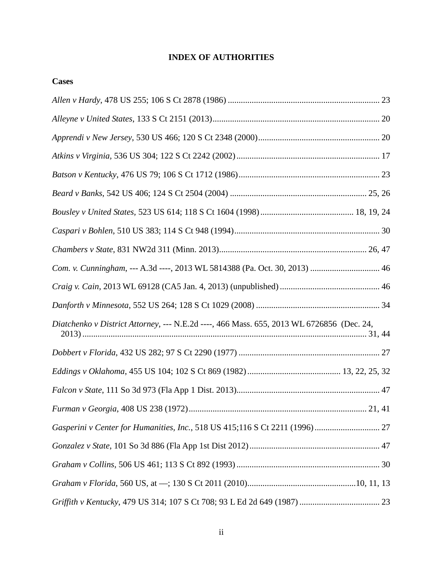# **INDEX OF AUTHORITIES**

<span id="page-2-0"></span>

| <b>Cases</b>                                                                              |  |
|-------------------------------------------------------------------------------------------|--|
|                                                                                           |  |
|                                                                                           |  |
|                                                                                           |  |
|                                                                                           |  |
|                                                                                           |  |
|                                                                                           |  |
|                                                                                           |  |
|                                                                                           |  |
|                                                                                           |  |
| Com. v. Cunningham, --- A.3d ----, 2013 WL 5814388 (Pa. Oct. 30, 2013)  46                |  |
|                                                                                           |  |
|                                                                                           |  |
| Diatchenko v District Attorney, --- N.E.2d ----, 466 Mass. 655, 2013 WL 6726856 (Dec. 24, |  |
|                                                                                           |  |
|                                                                                           |  |
|                                                                                           |  |
|                                                                                           |  |
|                                                                                           |  |
|                                                                                           |  |
|                                                                                           |  |
|                                                                                           |  |
|                                                                                           |  |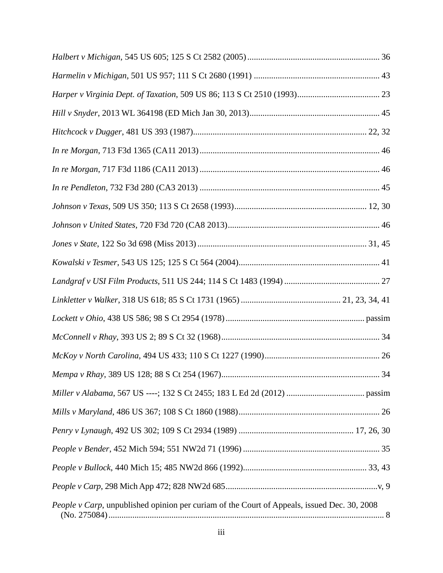| People v Carp, unpublished opinion per curiam of the Court of Appeals, issued Dec. 30, 2008 |  |
|---------------------------------------------------------------------------------------------|--|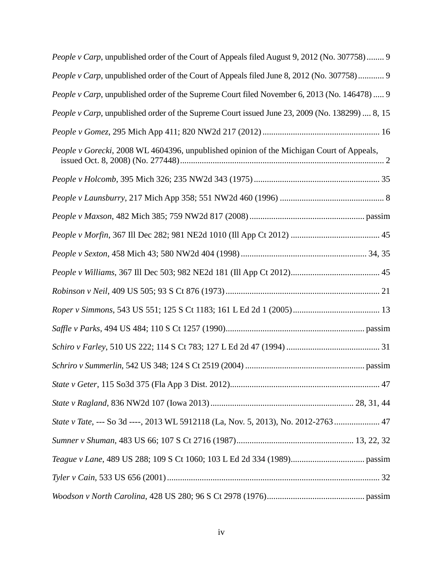| People v Carp, unpublished order of the Court of Appeals filed August 9, 2012 (No. 307758)  9  |
|------------------------------------------------------------------------------------------------|
| People v Carp, unpublished order of the Court of Appeals filed June 8, 2012 (No. 307758) 9     |
| People v Carp, unpublished order of the Supreme Court filed November 6, 2013 (No. 146478)  9   |
| People v Carp, unpublished order of the Supreme Court issued June 23, 2009 (No. 138299)  8, 15 |
|                                                                                                |
| People v Gorecki, 2008 WL 4604396, unpublished opinion of the Michigan Court of Appeals,       |
|                                                                                                |
|                                                                                                |
|                                                                                                |
|                                                                                                |
|                                                                                                |
|                                                                                                |
|                                                                                                |
|                                                                                                |
|                                                                                                |
|                                                                                                |
|                                                                                                |
|                                                                                                |
|                                                                                                |
| State v Tate, --- So 3d ----, 2013 WL 5912118 (La, Nov. 5, 2013), No. 2012-2763 47             |
|                                                                                                |
|                                                                                                |
|                                                                                                |
|                                                                                                |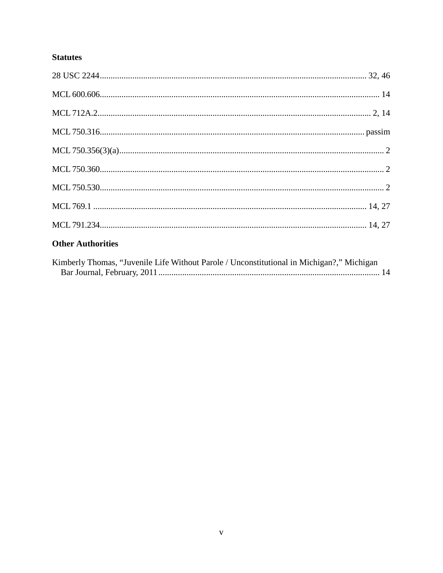# **Statutes**

# **Other Authorities**

| Kimberly Thomas, "Juvenile Life Without Parole / Unconstitutional in Michigan?," Michigan |  |
|-------------------------------------------------------------------------------------------|--|
|                                                                                           |  |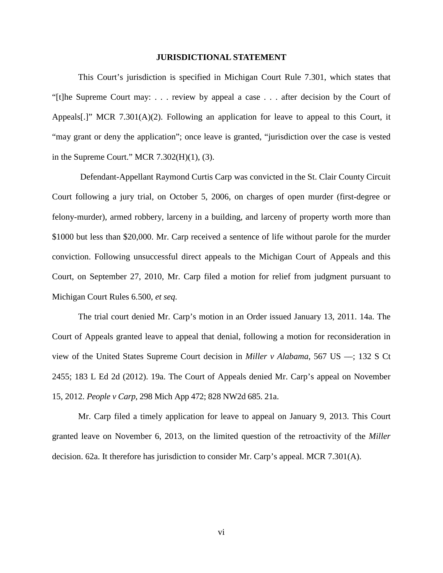#### **JURISDICTIONAL STATEMENT**

<span id="page-6-0"></span>This Court's jurisdiction is specified in Michigan Court Rule 7.301, which states that "[t]he Supreme Court may: . . . review by appeal a case . . . after decision by the Court of Appeals[.]" MCR 7.301(A)(2). Following an application for leave to appeal to this Court, it "may grant or deny the application"; once leave is granted, "jurisdiction over the case is vested in the Supreme Court." MCR 7.302(H)(1), (3).

Defendant-Appellant Raymond Curtis Carp was convicted in the St. Clair County Circuit Court following a jury trial, on October 5, 2006, on charges of open murder (first-degree or felony-murder), armed robbery, larceny in a building, and larceny of property worth more than \$1000 but less than \$20,000. Mr. Carp received a sentence of life without parole for the murder conviction. Following unsuccessful direct appeals to the Michigan Court of Appeals and this Court, on September 27, 2010, Mr. Carp filed a motion for relief from judgment pursuant to Michigan Court Rules 6.500, *et seq.*

The trial court denied Mr. Carp's motion in an Order issued January 13, 2011. 14a. The Court of Appeals granted leave to appeal that denial, following a motion for reconsideration in view of the United States Supreme Court decision in *Miller v Alabama*, 567 US ––; 132 S Ct 2455; 183 L Ed 2d (2012). 19a. The Court of Appeals denied Mr. Carp's appeal on November 15, 2012. *People v Carp*, 298 Mich App 472; 828 NW2d 685. 21a.

Mr. Carp filed a timely application for leave to appeal on January 9, 2013. This Court granted leave on November 6, 2013, on the limited question of the retroactivity of the *Miller*  decision. 62a. It therefore has jurisdiction to consider Mr. Carp's appeal. MCR 7.301(A).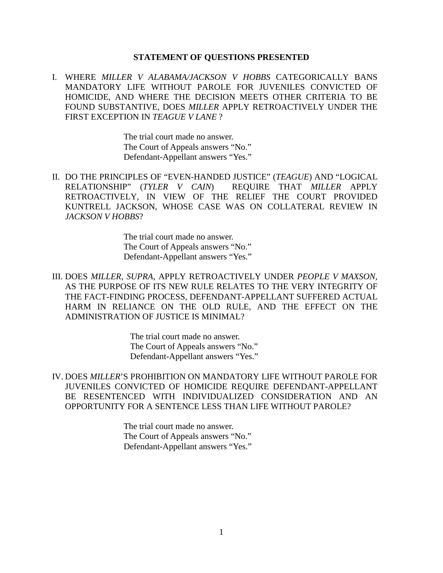#### **STATEMENT OF QUESTIONS PRESENTED**

<span id="page-7-0"></span>I. WHERE *MILLER V ALABAMA/JACKSON V HOBBS* CATEGORICALLY BANS MANDATORY LIFE WITHOUT PAROLE FOR JUVENILES CONVICTED OF HOMICIDE, AND WHERE THE DECISION MEETS OTHER CRITERIA TO BE FOUND SUBSTANTIVE, DOES *MILLER* APPLY RETROACTIVELY UNDER THE FIRST EXCEPTION IN *TEAGUE V LANE* ?

> The trial court made no answer. The Court of Appeals answers "No." Defendant-Appellant answers "Yes."

II. DO THE PRINCIPLES OF "EVEN-HANDED JUSTICE" (*TEAGUE*) AND "LOGICAL RELATIONSHIP" (*TYLER V CAIN*) REQUIRE THAT *MILLER* APPLY RETROACTIVELY, IN VIEW OF THE RELIEF THE COURT PROVIDED KUNTRELL JACKSON, WHOSE CASE WAS ON COLLATERAL REVIEW IN *JACKSON V HOBBS*?

> The trial court made no answer. The Court of Appeals answers "No." Defendant-Appellant answers "Yes."

III. DOES *MILLER*, *SUPRA*, APPLY RETROACTIVELY UNDER *PEOPLE V MAXSON*, AS THE PURPOSE OF ITS NEW RULE RELATES TO THE VERY INTEGRITY OF THE FACT-FINDING PROCESS, DEFENDANT-APPELLANT SUFFERED ACTUAL HARM IN RELIANCE ON THE OLD RULE, AND THE EFFECT ON THE ADMINISTRATION OF JUSTICE IS MINIMAL?

> The trial court made no answer. The Court of Appeals answers "No." Defendant-Appellant answers "Yes."

IV. DOES *MILLER*'S PROHIBITION ON MANDATORY LIFE WITHOUT PAROLE FOR JUVENILES CONVICTED OF HOMICIDE REQUIRE DEFENDANT-APPELLANT BE RESENTENCED WITH INDIVIDUALIZED CONSIDERATION AND AN OPPORTUNITY FOR A SENTENCE LESS THAN LIFE WITHOUT PAROLE?

> The trial court made no answer. The Court of Appeals answers "No." Defendant-Appellant answers "Yes."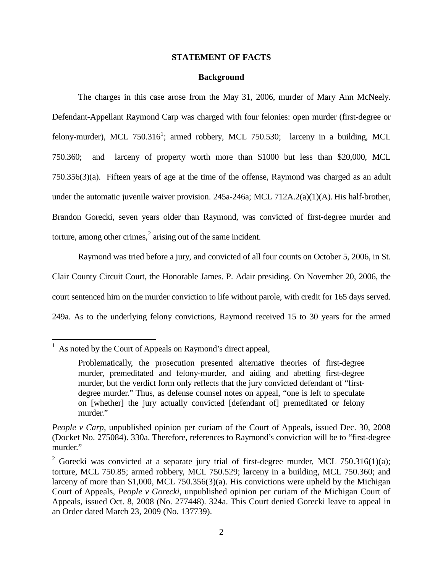#### **STATEMENT OF FACTS**

#### **Background**

<span id="page-8-0"></span>The charges in this case arose from the May 31, 2006, murder of Mary Ann McNeely. Defendant-Appellant Raymond Carp was charged with four felonies: open murder (first-degree or felony-murder), MCL 750.3[1](#page-8-1)6<sup>1</sup>; armed robbery, MCL 750.530; larceny in a building, MCL 750.360; and larceny of property worth more than \$1000 but less than \$20,000, MCL 750.356(3)(a). Fifteen years of age at the time of the offense, Raymond was charged as an adult under the automatic juvenile waiver provision. 245a-246a; MCL 712A.2(a)(1)(A). His half-brother, Brandon Gorecki, seven years older than Raymond, was convicted of first-degree murder and torture, among other crimes, $\frac{2}{3}$  $\frac{2}{3}$  $\frac{2}{3}$  arising out of the same incident.

Raymond was tried before a jury, and convicted of all four counts on October 5, 2006, in St. Clair County Circuit Court, the Honorable James. P. Adair presiding. On November 20, 2006, the court sentenced him on the murder conviction to life without parole, with credit for 165 days served. 249a. As to the underlying felony convictions, Raymond received 15 to 30 years for the armed

<span id="page-8-1"></span> $<sup>1</sup>$  As noted by the Court of Appeals on Raymond's direct appeal,</sup>

Problematically, the prosecution presented alternative theories of first-degree murder, premeditated and felony-murder, and aiding and abetting first-degree murder, but the verdict form only reflects that the jury convicted defendant of "firstdegree murder." Thus, as defense counsel notes on appeal, "one is left to speculate on [whether] the jury actually convicted [defendant of] premeditated or felony murder."

*People v Carp*, unpublished opinion per curiam of the Court of Appeals, issued Dec. 30, 2008 (Docket No. 275084). 330a. Therefore, references to Raymond's conviction will be to "first-degree murder."

<span id="page-8-2"></span><sup>&</sup>lt;sup>2</sup> Gorecki was convicted at a separate jury trial of first-degree murder, MCL 750.316(1)(a); torture, MCL 750.85; armed robbery, MCL 750.529; larceny in a building, MCL 750.360; and larceny of more than \$1,000, MCL 750.356(3)(a). His convictions were upheld by the Michigan Court of Appeals, *People v Gorecki*, unpublished opinion per curiam of the Michigan Court of Appeals, issued Oct. 8, 2008 (No. 277448). 324a. This Court denied Gorecki leave to appeal in an Order dated March 23, 2009 (No. 137739).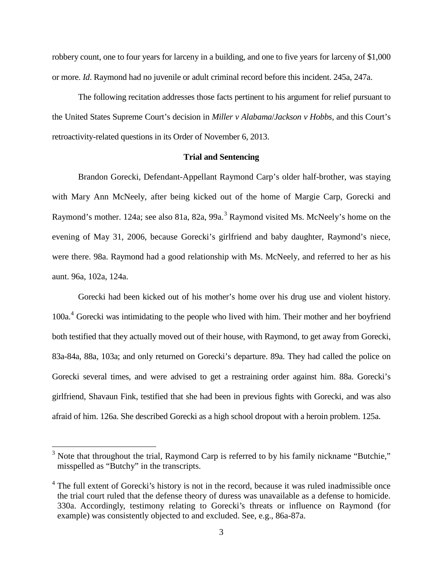robbery count, one to four years for larceny in a building, and one to five years for larceny of \$1,000 or more. *Id*. Raymond had no juvenile or adult criminal record before this incident. 245a, 247a.

The following recitation addresses those facts pertinent to his argument for relief pursuant to the United States Supreme Court's decision in *Miller v Alabama*/*Jackson v Hobbs*, and this Court's retroactivity-related questions in its Order of November 6, 2013.

#### **Trial and Sentencing**

Brandon Gorecki, Defendant-Appellant Raymond Carp's older half-brother, was staying with Mary Ann McNeely, after being kicked out of the home of Margie Carp, Gorecki and Raymond's mother. 124a; see also 81a, 82a, 99a.<sup>[3](#page-9-0)</sup> Raymond visited Ms. McNeely's home on the evening of May 31, 2006, because Gorecki's girlfriend and baby daughter, Raymond's niece, were there. 98a. Raymond had a good relationship with Ms. McNeely, and referred to her as his aunt. 96a, 102a, 124a.

Gorecki had been kicked out of his mother's home over his drug use and violent history. 100a. [4](#page-9-1) Gorecki was intimidating to the people who lived with him. Their mother and her boyfriend both testified that they actually moved out of their house, with Raymond, to get away from Gorecki, 83a-84a, 88a, 103a; and only returned on Gorecki's departure. 89a. They had called the police on Gorecki several times, and were advised to get a restraining order against him. 88a. Gorecki's girlfriend, Shavaun Fink, testified that she had been in previous fights with Gorecki, and was also afraid of him. 126a. She described Gorecki as a high school dropout with a heroin problem. 125a.

<span id="page-9-0"></span> $3$  Note that throughout the trial, Raymond Carp is referred to by his family nickname "Butchie," misspelled as "Butchy" in the transcripts.

<span id="page-9-1"></span><sup>&</sup>lt;sup>4</sup> The full extent of Gorecki's history is not in the record, because it was ruled inadmissible once the trial court ruled that the defense theory of duress was unavailable as a defense to homicide. 330a. Accordingly, testimony relating to Gorecki's threats or influence on Raymond (for example) was consistently objected to and excluded. See, e.g., 86a-87a.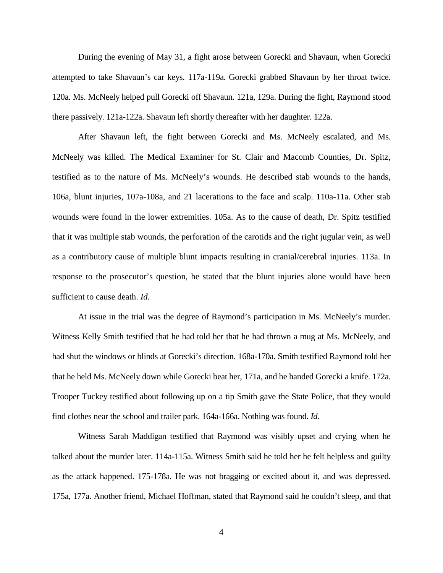During the evening of May 31, a fight arose between Gorecki and Shavaun, when Gorecki attempted to take Shavaun's car keys. 117a-119a. Gorecki grabbed Shavaun by her throat twice. 120a. Ms. McNeely helped pull Gorecki off Shavaun. 121a, 129a. During the fight, Raymond stood there passively. 121a-122a. Shavaun left shortly thereafter with her daughter. 122a.

After Shavaun left, the fight between Gorecki and Ms. McNeely escalated, and Ms. McNeely was killed. The Medical Examiner for St. Clair and Macomb Counties, Dr. Spitz, testified as to the nature of Ms. McNeely's wounds. He described stab wounds to the hands, 106a, blunt injuries, 107a-108a, and 21 lacerations to the face and scalp. 110a-11a. Other stab wounds were found in the lower extremities. 105a. As to the cause of death, Dr. Spitz testified that it was multiple stab wounds, the perforation of the carotids and the right jugular vein, as well as a contributory cause of multiple blunt impacts resulting in cranial/cerebral injuries. 113a. In response to the prosecutor's question, he stated that the blunt injuries alone would have been sufficient to cause death. *Id.*

At issue in the trial was the degree of Raymond's participation in Ms. McNeely's murder. Witness Kelly Smith testified that he had told her that he had thrown a mug at Ms. McNeely, and had shut the windows or blinds at Gorecki's direction. 168a-170a. Smith testified Raymond told her that he held Ms. McNeely down while Gorecki beat her, 171a, and he handed Gorecki a knife. 172a. Trooper Tuckey testified about following up on a tip Smith gave the State Police, that they would find clothes near the school and trailer park. 164a-166a. Nothing was found. *Id*.

Witness Sarah Maddigan testified that Raymond was visibly upset and crying when he talked about the murder later. 114a-115a. Witness Smith said he told her he felt helpless and guilty as the attack happened. 175-178a. He was not bragging or excited about it, and was depressed. 175a, 177a. Another friend, Michael Hoffman, stated that Raymond said he couldn't sleep, and that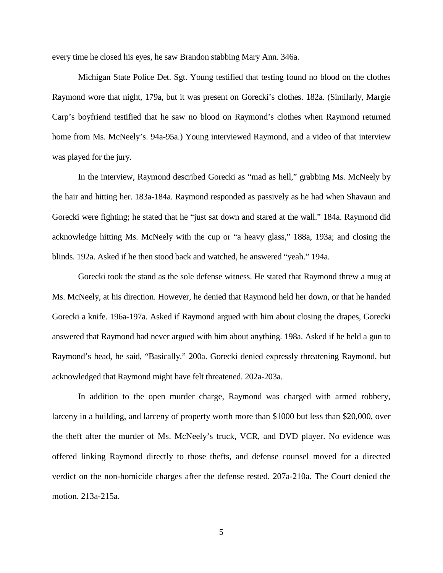every time he closed his eyes, he saw Brandon stabbing Mary Ann. 346a.

Michigan State Police Det. Sgt. Young testified that testing found no blood on the clothes Raymond wore that night, 179a, but it was present on Gorecki's clothes. 182a. (Similarly, Margie Carp's boyfriend testified that he saw no blood on Raymond's clothes when Raymond returned home from Ms. McNeely's. 94a-95a.) Young interviewed Raymond, and a video of that interview was played for the jury.

In the interview, Raymond described Gorecki as "mad as hell," grabbing Ms. McNeely by the hair and hitting her. 183a-184a. Raymond responded as passively as he had when Shavaun and Gorecki were fighting; he stated that he "just sat down and stared at the wall." 184a. Raymond did acknowledge hitting Ms. McNeely with the cup or "a heavy glass," 188a, 193a; and closing the blinds. 192a. Asked if he then stood back and watched, he answered "yeah." 194a.

Gorecki took the stand as the sole defense witness. He stated that Raymond threw a mug at Ms. McNeely, at his direction. However, he denied that Raymond held her down, or that he handed Gorecki a knife. 196a-197a. Asked if Raymond argued with him about closing the drapes, Gorecki answered that Raymond had never argued with him about anything. 198a. Asked if he held a gun to Raymond's head, he said, "Basically." 200a. Gorecki denied expressly threatening Raymond, but acknowledged that Raymond might have felt threatened. 202a-203a.

In addition to the open murder charge, Raymond was charged with armed robbery, larceny in a building, and larceny of property worth more than \$1000 but less than \$20,000, over the theft after the murder of Ms. McNeely's truck, VCR, and DVD player. No evidence was offered linking Raymond directly to those thefts, and defense counsel moved for a directed verdict on the non-homicide charges after the defense rested. 207a-210a. The Court denied the motion. 213a-215a.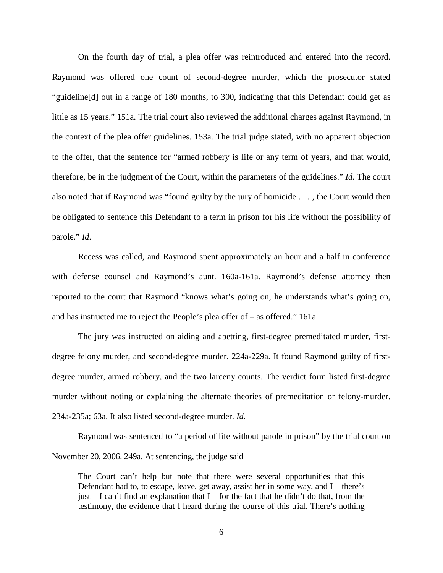On the fourth day of trial, a plea offer was reintroduced and entered into the record. Raymond was offered one count of second-degree murder, which the prosecutor stated "guideline[d] out in a range of 180 months, to 300, indicating that this Defendant could get as little as 15 years." 151a. The trial court also reviewed the additional charges against Raymond, in the context of the plea offer guidelines. 153a. The trial judge stated, with no apparent objection to the offer, that the sentence for "armed robbery is life or any term of years, and that would, therefore, be in the judgment of the Court, within the parameters of the guidelines." *Id.* The court also noted that if Raymond was "found guilty by the jury of homicide . . . , the Court would then be obligated to sentence this Defendant to a term in prison for his life without the possibility of parole." *Id*.

Recess was called, and Raymond spent approximately an hour and a half in conference with defense counsel and Raymond's aunt. 160a-161a. Raymond's defense attorney then reported to the court that Raymond "knows what's going on, he understands what's going on, and has instructed me to reject the People's plea offer of – as offered." 161a.

The jury was instructed on aiding and abetting, first-degree premeditated murder, firstdegree felony murder, and second-degree murder. 224a-229a. It found Raymond guilty of firstdegree murder, armed robbery, and the two larceny counts. The verdict form listed first-degree murder without noting or explaining the alternate theories of premeditation or felony-murder. 234a-235a; 63a. It also listed second-degree murder. *Id*.

Raymond was sentenced to "a period of life without parole in prison" by the trial court on November 20, 2006. 249a. At sentencing, the judge said

The Court can't help but note that there were several opportunities that this Defendant had to, to escape, leave, get away, assist her in some way, and I – there's just  $-$  I can't find an explanation that I – for the fact that he didn't do that, from the testimony, the evidence that I heard during the course of this trial. There's nothing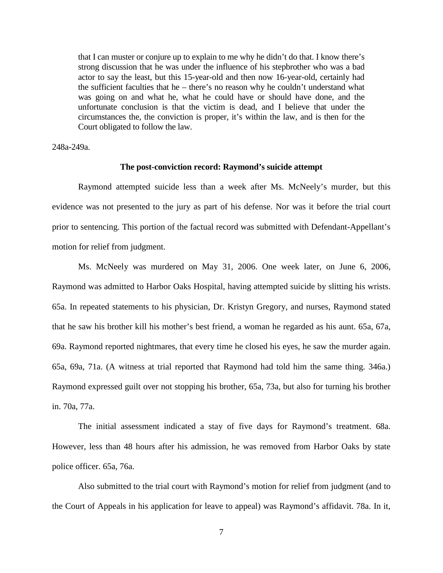that I can muster or conjure up to explain to me why he didn't do that. I know there's strong discussion that he was under the influence of his stepbrother who was a bad actor to say the least, but this 15-year-old and then now 16-year-old, certainly had the sufficient faculties that he – there's no reason why he couldn't understand what was going on and what he, what he could have or should have done, and the unfortunate conclusion is that the victim is dead, and I believe that under the circumstances the, the conviction is proper, it's within the law, and is then for the Court obligated to follow the law.

248a-249a.

#### **The post-conviction record: Raymond's suicide attempt**

Raymond attempted suicide less than a week after Ms. McNeely's murder, but this evidence was not presented to the jury as part of his defense. Nor was it before the trial court prior to sentencing. This portion of the factual record was submitted with Defendant-Appellant's motion for relief from judgment.

Ms. McNeely was murdered on May 31, 2006. One week later, on June 6, 2006, Raymond was admitted to Harbor Oaks Hospital, having attempted suicide by slitting his wrists. 65a. In repeated statements to his physician, Dr. Kristyn Gregory, and nurses, Raymond stated that he saw his brother kill his mother's best friend, a woman he regarded as his aunt. 65a, 67a, 69a. Raymond reported nightmares, that every time he closed his eyes, he saw the murder again. 65a, 69a, 71a. (A witness at trial reported that Raymond had told him the same thing. 346a.) Raymond expressed guilt over not stopping his brother, 65a, 73a, but also for turning his brother in. 70a, 77a.

The initial assessment indicated a stay of five days for Raymond's treatment. 68a. However, less than 48 hours after his admission, he was removed from Harbor Oaks by state police officer. 65a, 76a.

Also submitted to the trial court with Raymond's motion for relief from judgment (and to the Court of Appeals in his application for leave to appeal) was Raymond's affidavit. 78a. In it,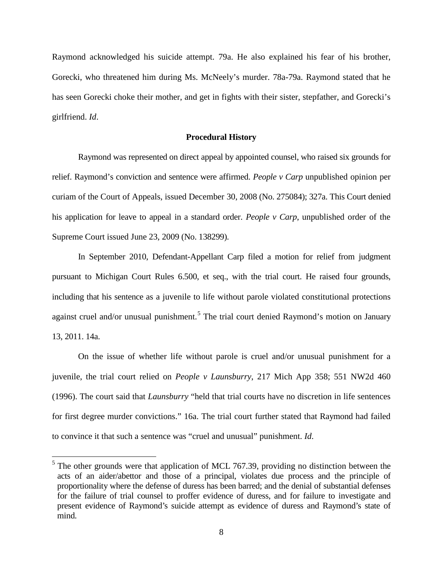Raymond acknowledged his suicide attempt. 79a. He also explained his fear of his brother, Gorecki, who threatened him during Ms. McNeely's murder. 78a-79a. Raymond stated that he has seen Gorecki choke their mother, and get in fights with their sister, stepfather, and Gorecki's girlfriend. *Id*.

#### **Procedural History**

Raymond was represented on direct appeal by appointed counsel, who raised six grounds for relief. Raymond's conviction and sentence were affirmed. *People v Carp* unpublished opinion per curiam of the Court of Appeals, issued December 30, 2008 (No. 275084); 327a. This Court denied his application for leave to appeal in a standard order. *People v Carp*, unpublished order of the Supreme Court issued June 23, 2009 (No. 138299).

In September 2010, Defendant-Appellant Carp filed a motion for relief from judgment pursuant to Michigan Court Rules 6.500, et seq., with the trial court. He raised four grounds, including that his sentence as a juvenile to life without parole violated constitutional protections against cruel and/or unusual punishment.<sup>[5](#page-14-0)</sup> The trial court denied Raymond's motion on January 13, 2011. 14a.

On the issue of whether life without parole is cruel and/or unusual punishment for a juvenile, the trial court relied on *People v Launsburry*, 217 Mich App 358; 551 NW2d 460 (1996). The court said that *Launsburry* "held that trial courts have no discretion in life sentences for first degree murder convictions." 16a. The trial court further stated that Raymond had failed to convince it that such a sentence was "cruel and unusual" punishment. *Id*.

<span id="page-14-0"></span> $<sup>5</sup>$  The other grounds were that application of MCL 767.39, providing no distinction between the</sup> acts of an aider/abettor and those of a principal, violates due process and the principle of proportionality where the defense of duress has been barred; and the denial of substantial defenses for the failure of trial counsel to proffer evidence of duress, and for failure to investigate and present evidence of Raymond's suicide attempt as evidence of duress and Raymond's state of mind.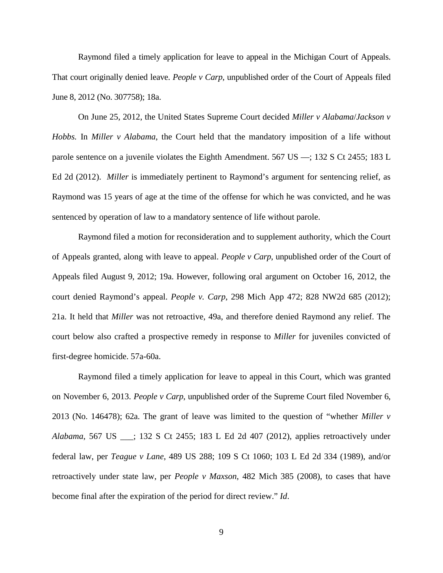Raymond filed a timely application for leave to appeal in the Michigan Court of Appeals. That court originally denied leave. *People v Carp*, unpublished order of the Court of Appeals filed June 8, 2012 (No. 307758); 18a.

On June 25, 2012, the United States Supreme Court decided *Miller v Alabama*/*Jackson v Hobbs.* In *Miller v Alabama*, the Court held that the mandatory imposition of a life without parole sentence on a juvenile violates the Eighth Amendment. 567 US ––; 132 S Ct 2455; 183 L Ed 2d (2012). *Miller* is immediately pertinent to Raymond's argument for sentencing relief, as Raymond was 15 years of age at the time of the offense for which he was convicted, and he was sentenced by operation of law to a mandatory sentence of life without parole.

Raymond filed a motion for reconsideration and to supplement authority, which the Court of Appeals granted, along with leave to appeal. *People v Carp*, unpublished order of the Court of Appeals filed August 9, 2012; 19a. However, following oral argument on October 16, 2012, the court denied Raymond's appeal. *People v. Carp*, 298 Mich App 472; 828 NW2d 685 (2012); 21a. It held that *Miller* was not retroactive, 49a, and therefore denied Raymond any relief. The court below also crafted a prospective remedy in response to *Miller* for juveniles convicted of first-degree homicide. 57a-60a.

Raymond filed a timely application for leave to appeal in this Court, which was granted on November 6, 2013. *People v Carp*, unpublished order of the Supreme Court filed November 6, 2013 (No. 146478); 62a. The grant of leave was limited to the question of "whether *Miller v Alabama*, 567 US \_\_\_; 132 S Ct 2455; 183 L Ed 2d 407 (2012), applies retroactively under federal law, per *Teague v Lane*, 489 US 288; 109 S Ct 1060; 103 L Ed 2d 334 (1989), and/or retroactively under state law, per *People v Maxson*, 482 Mich 385 (2008), to cases that have become final after the expiration of the period for direct review." *Id*.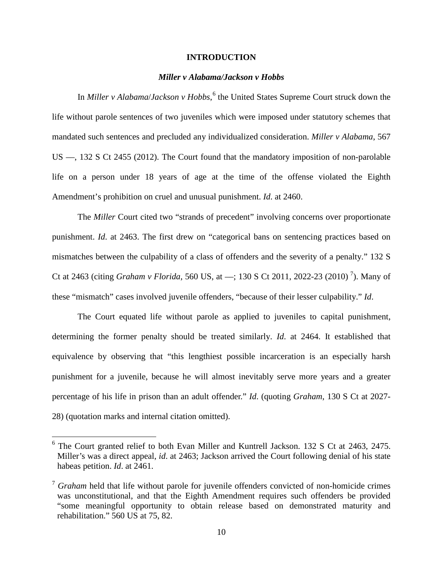#### **INTRODUCTION**

#### *Miller v Alabama/Jackson v Hobbs*

<span id="page-16-1"></span><span id="page-16-0"></span>In *Miller v Alabama*/*Jackson v Hobbs*, [6](#page-16-2) the United States Supreme Court struck down the life without parole sentences of two juveniles which were imposed under statutory schemes that mandated such sentences and precluded any individualized consideration. *Miller v Alabama*, 567 US ––, 132 S Ct 2455 (2012). The Court found that the mandatory imposition of non-parolable life on a person under 18 years of age at the time of the offense violated the Eighth Amendment's prohibition on cruel and unusual punishment. *Id*. at 2460.

The *Miller* Court cited two "strands of precedent" involving concerns over proportionate punishment. *Id*. at 2463. The first drew on "categorical bans on sentencing practices based on mismatches between the culpability of a class of offenders and the severity of a penalty." 132 S Ct at 2463 (citing *Graham v Florida*, 560 US, at ––; 130 S Ct 2011, 2022-23 (2010) [7](#page-16-3) ). Many of these "mismatch" cases involved juvenile offenders, "because of their lesser culpability." *Id*.

The Court equated life without parole as applied to juveniles to capital punishment, determining the former penalty should be treated similarly. *Id*. at 2464. It established that equivalence by observing that "this lengthiest possible incarceration is an especially harsh punishment for a juvenile, because he will almost inevitably serve more years and a greater percentage of his life in prison than an adult offender." *Id*. (quoting *Graham*, 130 S Ct at 2027- 28) (quotation marks and internal citation omitted).

<span id="page-16-2"></span> <sup>6</sup> The Court granted relief to both Evan Miller and Kuntrell Jackson. 132 S Ct at 2463, 2475. Miller's was a direct appeal, *id*. at 2463; Jackson arrived the Court following denial of his state habeas petition. *Id*. at 2461.

<span id="page-16-3"></span><sup>7</sup> *Graham* held that life without parole for juvenile offenders convicted of non-homicide crimes was unconstitutional, and that the Eighth Amendment requires such offenders be provided "some meaningful opportunity to obtain release based on demonstrated maturity and rehabilitation." 560 US at 75, 82.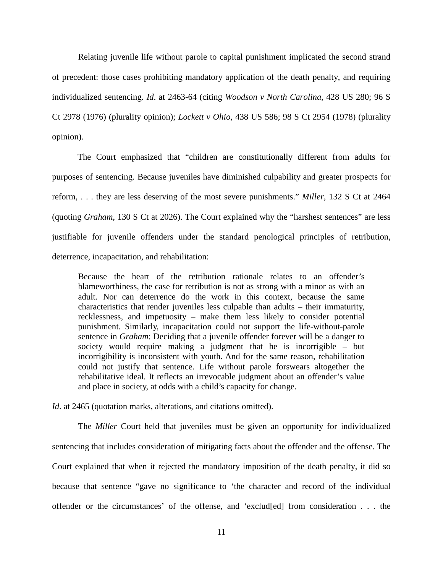Relating juvenile life without parole to capital punishment implicated the second strand of precedent: those cases prohibiting mandatory application of the death penalty, and requiring individualized sentencing. *Id*. at 2463-64 (citing *Woodson v North Carolina*, 428 US 280; 96 S Ct 2978 (1976) (plurality opinion); *Lockett v Ohio*, 438 US 586; 98 S Ct 2954 (1978) (plurality opinion).

The Court emphasized that "children are constitutionally different from adults for purposes of sentencing. Because juveniles have diminished culpability and greater prospects for reform, . . . they are less deserving of the most severe punishments." *Miller*, 132 S Ct at 2464 (quoting *Graham*, 130 S Ct at 2026). The Court explained why the "harshest sentences" are less justifiable for juvenile offenders under the standard penological principles of retribution, deterrence, incapacitation, and rehabilitation:

Because the heart of the retribution rationale relates to an offender's blameworthiness, the case for retribution is not as strong with a minor as with an adult. Nor can deterrence do the work in this context, because the same characteristics that render juveniles less culpable than adults – their immaturity, recklessness, and impetuosity – make them less likely to consider potential punishment. Similarly, incapacitation could not support the life-without-parole sentence in *Graham*: Deciding that a juvenile offender forever will be a danger to society would require making a judgment that he is incorrigible – but incorrigibility is inconsistent with youth. And for the same reason, rehabilitation could not justify that sentence. Life without parole forswears altogether the rehabilitative ideal. It reflects an irrevocable judgment about an offender's value and place in society, at odds with a child's capacity for change.

*Id.* at 2465 (quotation marks, alterations, and citations omitted).

The *Miller* Court held that juveniles must be given an opportunity for individualized sentencing that includes consideration of mitigating facts about the offender and the offense. The Court explained that when it rejected the mandatory imposition of the death penalty, it did so because that sentence "gave no significance to 'the character and record of the individual offender or the circumstances' of the offense, and 'exclud[ed] from consideration . . . the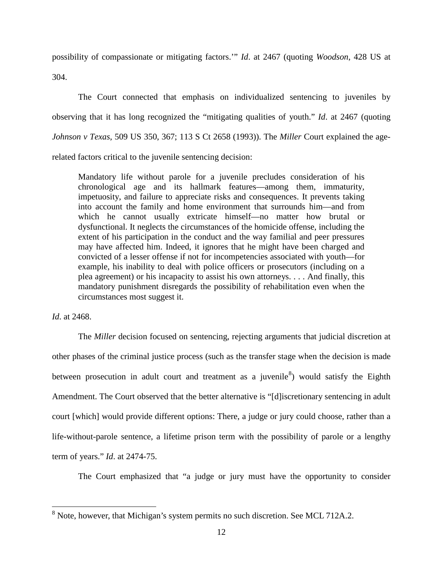possibility of compassionate or mitigating factors.'" *Id*. at 2467 (quoting *Woodson*, 428 US at 304.

The Court connected that emphasis on individualized sentencing to juveniles by observing that it has long recognized the "mitigating qualities of youth." *Id*. at 2467 (quoting *Johnson v Texas*, 509 US 350, 367; 113 S Ct 2658 (1993)). The *Miller* Court explained the agerelated factors critical to the juvenile sentencing decision:

Mandatory life without parole for a juvenile precludes consideration of his chronological age and its hallmark features—among them, immaturity, impetuosity, and failure to appreciate risks and consequences. It prevents taking into account the family and home environment that surrounds him—and from which he cannot usually extricate himself—no matter how brutal or dysfunctional. It neglects the circumstances of the homicide offense, including the extent of his participation in the conduct and the way familial and peer pressures may have affected him. Indeed, it ignores that he might have been charged and convicted of a lesser offense if not for incompetencies associated with youth—for example, his inability to deal with police officers or prosecutors (including on a plea agreement) or his incapacity to assist his own attorneys. . . . And finally, this mandatory punishment disregards the possibility of rehabilitation even when the circumstances most suggest it.

*Id*. at 2468.

The *Miller* decision focused on sentencing, rejecting arguments that judicial discretion at other phases of the criminal justice process (such as the transfer stage when the decision is made between prosecution in adult court and treatment as a juvenile<sup>[8](#page-18-0)</sup>) would satisfy the Eighth Amendment. The Court observed that the better alternative is "[d]iscretionary sentencing in adult court [which] would provide different options: There, a judge or jury could choose, rather than a life-without-parole sentence, a lifetime prison term with the possibility of parole or a lengthy term of years." *Id*. at 2474-75.

The Court emphasized that "a judge or jury must have the opportunity to consider

<span id="page-18-0"></span><sup>&</sup>lt;sup>8</sup> Note, however, that Michigan's system permits no such discretion. See MCL 712A.2.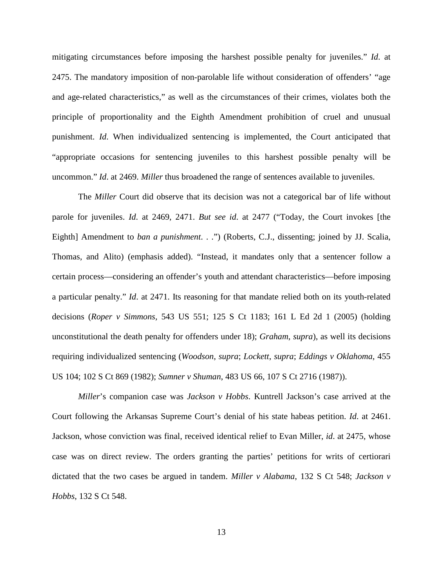mitigating circumstances before imposing the harshest possible penalty for juveniles." *Id*. at 2475. The mandatory imposition of non-parolable life without consideration of offenders' "age and age-related characteristics," as well as the circumstances of their crimes, violates both the principle of proportionality and the Eighth Amendment prohibition of cruel and unusual punishment. *Id*. When individualized sentencing is implemented, the Court anticipated that "appropriate occasions for sentencing juveniles to this harshest possible penalty will be uncommon." *Id*. at 2469. *Miller* thus broadened the range of sentences available to juveniles.

The *Miller* Court did observe that its decision was not a categorical bar of life without parole for juveniles. *Id*. at 2469, 2471. *But see id*. at 2477 ("Today, the Court invokes [the Eighth] Amendment to *ban a punishment*. . .") (Roberts, C.J., dissenting; joined by JJ. Scalia, Thomas, and Alito) (emphasis added). "Instead, it mandates only that a sentencer follow a certain process—considering an offender's youth and attendant characteristics—before imposing a particular penalty." *Id*. at 2471. Its reasoning for that mandate relied both on its youth-related decisions (*Roper v Simmons*, 543 US 551; 125 S Ct 1183; 161 L Ed 2d 1 (2005) (holding unconstitutional the death penalty for offenders under 18); *Graham*, *supra*), as well its decisions requiring individualized sentencing (*Woodson*, *supra*; *Lockett*, *supra*; *Eddings v Oklahoma*, 455 US 104; 102 S Ct 869 (1982); *Sumner v Shuman*, 483 US 66, 107 S Ct 2716 (1987)).

*Miller*'s companion case was *Jackson v Hobbs*. Kuntrell Jackson's case arrived at the Court following the Arkansas Supreme Court's denial of his state habeas petition. *Id*. at 2461. Jackson, whose conviction was final, received identical relief to Evan Miller, *id*. at 2475, whose case was on direct review. The orders granting the parties' petitions for writs of certiorari dictated that the two cases be argued in tandem. *Miller v Alabama*, 132 S Ct 548; *Jackson v Hobbs*, 132 S Ct 548.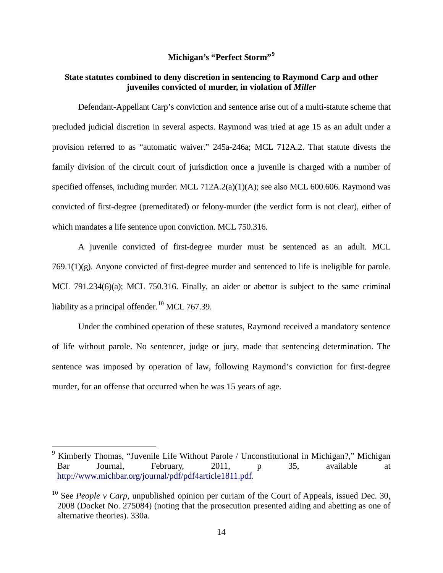## **Michigan's "Perfect Storm"[9](#page-20-1)**

#### <span id="page-20-0"></span>**State statutes combined to deny discretion in sentencing to Raymond Carp and other juveniles convicted of murder, in violation of** *Miller*

Defendant-Appellant Carp's conviction and sentence arise out of a multi-statute scheme that precluded judicial discretion in several aspects. Raymond was tried at age 15 as an adult under a provision referred to as "automatic waiver." 245a-246a; MCL 712A.2. That statute divests the family division of the circuit court of jurisdiction once a juvenile is charged with a number of specified offenses, including murder. MCL 712A.2(a)(1)(A); see also MCL 600.606. Raymond was convicted of first-degree (premeditated) or felony-murder (the verdict form is not clear), either of which mandates a life sentence upon conviction. MCL 750.316.

A juvenile convicted of first-degree murder must be sentenced as an adult. MCL 769.1(1)(g). Anyone convicted of first-degree murder and sentenced to life is ineligible for parole. MCL 791.234(6)(a); MCL 750.316. Finally, an aider or abettor is subject to the same criminal liability as a principal offender.<sup>[10](#page-20-2)</sup> MCL 767.39.

Under the combined operation of these statutes, Raymond received a mandatory sentence of life without parole. No sentencer, judge or jury, made that sentencing determination. The sentence was imposed by operation of law, following Raymond's conviction for first-degree murder, for an offense that occurred when he was 15 years of age.

<span id="page-20-1"></span> <sup>9</sup> Kimberly Thomas, "Juvenile Life Without Parole / Unconstitutional in Michigan?," Michigan Bar Journal, February, 2011, p 35, available at [http://www.michbar.org/journal/pdf/pdf4article1811.pdf.](http://www.michbar.org/journal/pdf/pdf4article1811.pdf)

<span id="page-20-2"></span><sup>&</sup>lt;sup>10</sup> See *People v Carp*, unpublished opinion per curiam of the Court of Appeals, issued Dec. 30, 2008 (Docket No. 275084) (noting that the prosecution presented aiding and abetting as one of alternative theories). 330a.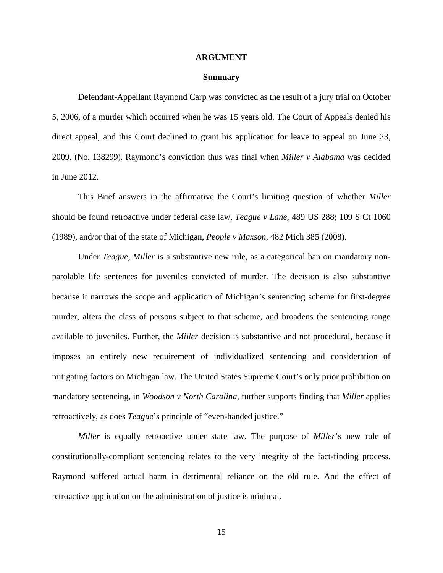#### **ARGUMENT**

#### **Summary**

<span id="page-21-0"></span>Defendant-Appellant Raymond Carp was convicted as the result of a jury trial on October 5, 2006, of a murder which occurred when he was 15 years old. The Court of Appeals denied his direct appeal, and this Court declined to grant his application for leave to appeal on June 23, 2009. (No. 138299). Raymond's conviction thus was final when *Miller v Alabama* was decided in June 2012.

This Brief answers in the affirmative the Court's limiting question of whether *Miller* should be found retroactive under federal case law, *Teague v Lane*, 489 US 288; 109 S Ct 1060 (1989), and/or that of the state of Michigan, *People v Maxson*, 482 Mich 385 (2008).

Under *Teague*, *Miller* is a substantive new rule, as a categorical ban on mandatory nonparolable life sentences for juveniles convicted of murder. The decision is also substantive because it narrows the scope and application of Michigan's sentencing scheme for first-degree murder, alters the class of persons subject to that scheme, and broadens the sentencing range available to juveniles. Further, the *Miller* decision is substantive and not procedural, because it imposes an entirely new requirement of individualized sentencing and consideration of mitigating factors on Michigan law. The United States Supreme Court's only prior prohibition on mandatory sentencing, in *Woodson v North Carolina*, further supports finding that *Miller* applies retroactively, as does *Teague*'s principle of "even-handed justice."

*Miller* is equally retroactive under state law. The purpose of *Miller*'s new rule of constitutionally-compliant sentencing relates to the very integrity of the fact-finding process. Raymond suffered actual harm in detrimental reliance on the old rule. And the effect of retroactive application on the administration of justice is minimal.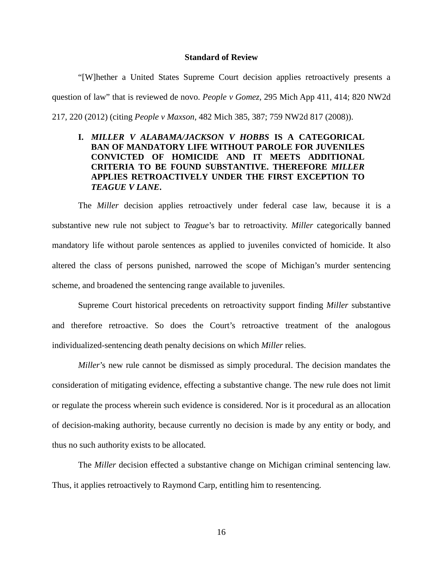#### **Standard of Review**

<span id="page-22-0"></span>"[W]hether a United States Supreme Court decision applies retroactively presents a question of law" that is reviewed de novo. *People v Gomez*, 295 Mich App 411, 414; 820 NW2d 217, 220 (2012) (citing *People v Maxson*, 482 Mich 385, 387; 759 NW2d 817 (2008)).

## <span id="page-22-1"></span>**I.** *MILLER V ALABAMA/JACKSON V HOBBS* **IS A CATEGORICAL BAN OF MANDATORY LIFE WITHOUT PAROLE FOR JUVENILES CONVICTED OF HOMICIDE AND IT MEETS ADDITIONAL CRITERIA TO BE FOUND SUBSTANTIVE. THEREFORE** *MILLER* **APPLIES RETROACTIVELY UNDER THE FIRST EXCEPTION TO**  *TEAGUE V LANE***.**

The *Miller* decision applies retroactively under federal case law, because it is a substantive new rule not subject to *Teague*'s bar to retroactivity. *Miller* categorically banned mandatory life without parole sentences as applied to juveniles convicted of homicide. It also altered the class of persons punished, narrowed the scope of Michigan's murder sentencing scheme, and broadened the sentencing range available to juveniles.

Supreme Court historical precedents on retroactivity support finding *Miller* substantive and therefore retroactive. So does the Court's retroactive treatment of the analogous individualized-sentencing death penalty decisions on which *Miller* relies.

*Miller's* new rule cannot be dismissed as simply procedural. The decision mandates the consideration of mitigating evidence, effecting a substantive change. The new rule does not limit or regulate the process wherein such evidence is considered. Nor is it procedural as an allocation of decision-making authority, because currently no decision is made by any entity or body, and thus no such authority exists to be allocated.

The *Miller* decision effected a substantive change on Michigan criminal sentencing law. Thus, it applies retroactively to Raymond Carp, entitling him to resentencing.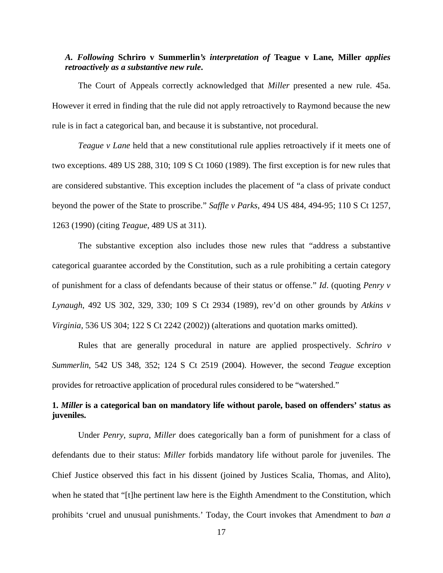## *A. Following* **Schriro v Summerlin***'s interpretation of* **Teague v Lane***,* **Miller** *applies retroactively as a substantive new rule***.**

The Court of Appeals correctly acknowledged that *Miller* presented a new rule. 45a. However it erred in finding that the rule did not apply retroactively to Raymond because the new rule is in fact a categorical ban, and because it is substantive, not procedural.

*Teague v Lane* held that a new constitutional rule applies retroactively if it meets one of two exceptions. 489 US 288, 310; 109 S Ct 1060 (1989). The first exception is for new rules that are considered substantive. This exception includes the placement of "a class of private conduct beyond the power of the State to proscribe." *Saffle v Parks*, 494 US 484, 494-95; 110 S Ct 1257, 1263 (1990) (citing *Teague*, 489 US at 311).

The substantive exception also includes those new rules that "address a substantive categorical guarantee accorded by the Constitution, such as a rule prohibiting a certain category of punishment for a class of defendants because of their status or offense." *Id*. (quoting *Penry v Lynaugh*, 492 US 302, 329, 330; 109 S Ct 2934 (1989), rev'd on other grounds by *Atkins v Virginia,* 536 US 304; 122 S Ct 2242 (2002)) (alterations and quotation marks omitted).

Rules that are generally procedural in nature are applied prospectively. *Schriro v Summerlin*, 542 US 348, 352; 124 S Ct 2519 (2004). However, the second *Teague* exception provides for retroactive application of procedural rules considered to be "watershed."

## **1.** *Miller* **is a categorical ban on mandatory life without parole, based on offenders' status as juveniles.**

Under *Penry*, *supra*, *Miller* does categorically ban a form of punishment for a class of defendants due to their status: *Miller* forbids mandatory life without parole for juveniles. The Chief Justice observed this fact in his dissent (joined by Justices Scalia, Thomas, and Alito), when he stated that "[t]he pertinent law here is the Eighth Amendment to the Constitution, which prohibits 'cruel and unusual punishments.' Today, the Court invokes that Amendment to *ban a*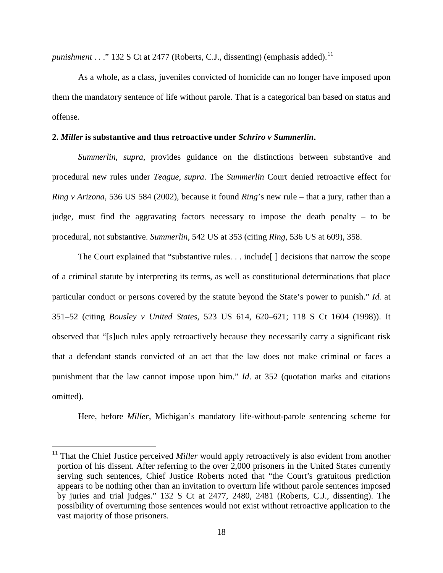*punishment* . . ." 132 S Ct at 2477 (Roberts, C.J., dissenting) (emphasis added). [11](#page-24-0)

As a whole, as a class, juveniles convicted of homicide can no longer have imposed upon them the mandatory sentence of life without parole. That is a categorical ban based on status and offense.

#### **2.** *Miller* **is substantive and thus retroactive under** *Schriro v Summerlin***.**

*Summerlin*, *supra*, provides guidance on the distinctions between substantive and procedural new rules under *Teague*, *supra*. The *Summerlin* Court denied retroactive effect for *Ring v Arizona*, 536 US 584 (2002), because it found *Ring*'s new rule – that a jury, rather than a judge, must find the aggravating factors necessary to impose the death penalty – to be procedural, not substantive. *Summerlin*, 542 US at 353 (citing *Ring*, 536 US at 609), 358.

The Court explained that "substantive rules. . . include | decisions that narrow the scope of a criminal statute by interpreting its terms, as well as constitutional determinations that place particular conduct or persons covered by the statute beyond the State's power to punish." *Id.* at 351–52 (citing *Bousley v United States,* 523 US 614, 620–621; 118 S Ct 1604 (1998)). It observed that "[s]uch rules apply retroactively because they necessarily carry a significant risk that a defendant stands convicted of an act that the law does not make criminal or faces a punishment that the law cannot impose upon him." *Id*. at 352 (quotation marks and citations omitted).

Here, before *Miller*, Michigan's mandatory life-without-parole sentencing scheme for

<span id="page-24-0"></span><sup>&</sup>lt;sup>11</sup> That the Chief Justice perceived *Miller* would apply retroactively is also evident from another portion of his dissent. After referring to the over 2,000 prisoners in the United States currently serving such sentences, Chief Justice Roberts noted that "the Court's gratuitous prediction appears to be nothing other than an invitation to overturn life without parole sentences imposed by juries and trial judges." 132 S Ct at 2477, 2480, 2481 (Roberts, C.J., dissenting). The possibility of overturning those sentences would not exist without retroactive application to the vast majority of those prisoners.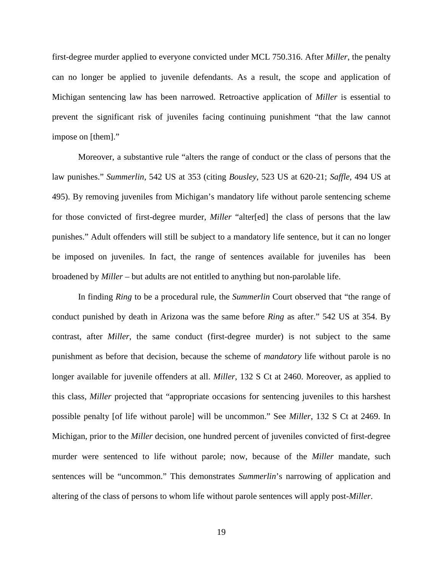first-degree murder applied to everyone convicted under MCL 750.316. After *Miller*, the penalty can no longer be applied to juvenile defendants. As a result, the scope and application of Michigan sentencing law has been narrowed. Retroactive application of *Miller* is essential to prevent the significant risk of juveniles facing continuing punishment "that the law cannot impose on [them]."

Moreover, a substantive rule "alters the range of conduct or the class of persons that the law punishes." *Summerlin*, 542 US at 353 (citing *Bousley*, 523 US at 620-21; *Saffle*, 494 US at 495). By removing juveniles from Michigan's mandatory life without parole sentencing scheme for those convicted of first-degree murder, *Miller* "alter[ed] the class of persons that the law punishes." Adult offenders will still be subject to a mandatory life sentence, but it can no longer be imposed on juveniles. In fact, the range of sentences available for juveniles has been broadened by *Miller* – but adults are not entitled to anything but non-parolable life.

In finding *Ring* to be a procedural rule, the *Summerlin* Court observed that "the range of conduct punished by death in Arizona was the same before *Ring* as after." 542 US at 354. By contrast, after *Miller*, the same conduct (first-degree murder) is not subject to the same punishment as before that decision, because the scheme of *mandatory* life without parole is no longer available for juvenile offenders at all. *Miller*, 132 S Ct at 2460. Moreover, as applied to this class, *Miller* projected that "appropriate occasions for sentencing juveniles to this harshest possible penalty [of life without parole] will be uncommon." See *Miller*, 132 S Ct at 2469. In Michigan, prior to the *Miller* decision, one hundred percent of juveniles convicted of first-degree murder were sentenced to life without parole; now, because of the *Miller* mandate, such sentences will be "uncommon." This demonstrates *Summerlin*'s narrowing of application and altering of the class of persons to whom life without parole sentences will apply post-*Miller*.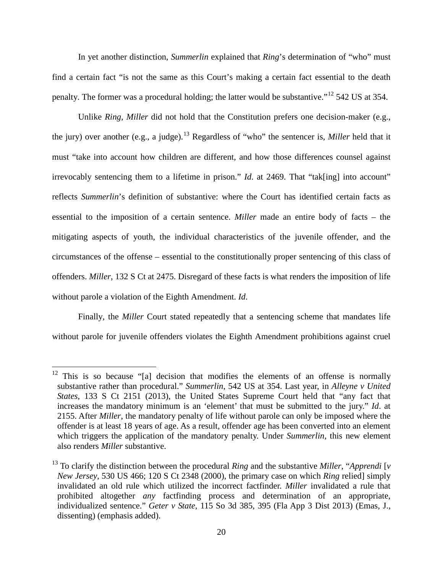In yet another distinction, *Summerlin* explained that *Ring*'s determination of "who" must find a certain fact "is not the same as this Court's making a certain fact essential to the death penalty. The former was a procedural holding; the latter would be substantive."[12](#page-26-0) 542 US at 354.

Unlike *Ring*, *Miller* did not hold that the Constitution prefers one decision-maker (e.g., the jury) over another (e.g., a judge). [13](#page-26-1) Regardless of "who" the sentencer is, *Miller* held that it must "take into account how children are different, and how those differences counsel against irrevocably sentencing them to a lifetime in prison." *Id*. at 2469. That "tak[ing] into account" reflects *Summerlin*'s definition of substantive: where the Court has identified certain facts as essential to the imposition of a certain sentence. *Miller* made an entire body of facts – the mitigating aspects of youth, the individual characteristics of the juvenile offender, and the circumstances of the offense – essential to the constitutionally proper sentencing of this class of offenders. *Miller*, 132 S Ct at 2475. Disregard of these facts is what renders the imposition of life without parole a violation of the Eighth Amendment. *Id*.

Finally, the *Miller* Court stated repeatedly that a sentencing scheme that mandates life without parole for juvenile offenders violates the Eighth Amendment prohibitions against cruel

<span id="page-26-0"></span> $12$  This is so because "[a] decision that modifies the elements of an offense is normally substantive rather than procedural." *Summerlin*, 542 US at 354. Last year, in *Alleyne v United States*, 133 S Ct 2151 (2013), the United States Supreme Court held that "any fact that increases the mandatory minimum is an 'element' that must be submitted to the jury." *Id*. at 2155. After *Miller*, the mandatory penalty of life without parole can only be imposed where the offender is at least 18 years of age. As a result, offender age has been converted into an element which triggers the application of the mandatory penalty. Under *Summerlin*, this new element also renders *Miller* substantive.

<span id="page-26-1"></span><sup>13</sup> To clarify the distinction between the procedural *Ring* and the substantive *Miller*, "*Apprendi* [*v New Jersey*, 530 US 466; 120 S Ct 2348 (2000), the primary case on which *Ring* relied] simply invalidated an old rule which utilized the incorrect factfinder. *Miller* invalidated a rule that prohibited altogether *any* factfinding process and determination of an appropriate, individualized sentence." *Geter v State*, 115 So 3d 385, 395 (Fla App 3 Dist 2013) (Emas, J., dissenting) (emphasis added).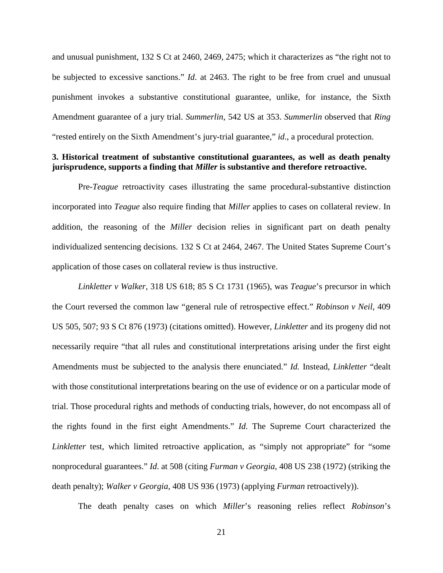and unusual punishment, 132 S Ct at 2460, 2469, 2475; which it characterizes as "the right not to be subjected to excessive sanctions." *Id*. at 2463. The right to be free from cruel and unusual punishment invokes a substantive constitutional guarantee, unlike, for instance, the Sixth Amendment guarantee of a jury trial. *Summerlin*, 542 US at 353. *Summerlin* observed that *Ring* "rested entirely on the Sixth Amendment's jury-trial guarantee," *id*., a procedural protection.

#### **3. Historical treatment of substantive constitutional guarantees, as well as death penalty jurisprudence, supports a finding that** *Miller* **is substantive and therefore retroactive.**

Pre-*Teague* retroactivity cases illustrating the same procedural-substantive distinction incorporated into *Teague* also require finding that *Miller* applies to cases on collateral review. In addition, the reasoning of the *Miller* decision relies in significant part on death penalty individualized sentencing decisions. 132 S Ct at 2464, 2467. The United States Supreme Court's application of those cases on collateral review is thus instructive.

*Linkletter v Walker*, 318 US 618; 85 S Ct 1731 (1965), was *Teague*'s precursor in which the Court reversed the common law "general rule of retrospective effect." *Robinson v Neil*, 409 US 505, 507; 93 S Ct 876 (1973) (citations omitted). However, *Linkletter* and its progeny did not necessarily require "that all rules and constitutional interpretations arising under the first eight Amendments must be subjected to the analysis there enunciated." *Id.* Instead, *Linkletter* "dealt with those constitutional interpretations bearing on the use of evidence or on a particular mode of trial. Those procedural rights and methods of conducting trials, however, do not encompass all of the rights found in the first eight Amendments." *Id*. The Supreme Court characterized the *Linkletter* test, which limited retroactive application, as "simply not appropriate" for "some nonprocedural guarantees." *Id*. at 508 (citing *Furman v Georgia*, 408 US 238 (1972) (striking the death penalty); *Walker v Georgia*, 408 US 936 (1973) (applying *Furman* retroactively)).

The death penalty cases on which *Miller*'s reasoning relies reflect *Robinson*'s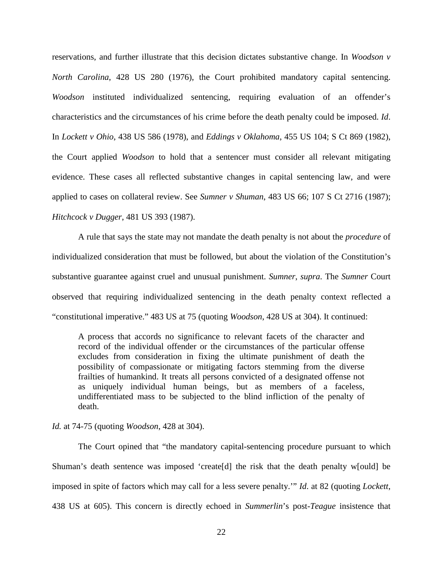reservations, and further illustrate that this decision dictates substantive change. In *Woodson v North Carolina*, 428 US 280 (1976), the Court prohibited mandatory capital sentencing. *Woodson* instituted individualized sentencing, requiring evaluation of an offender's characteristics and the circumstances of his crime before the death penalty could be imposed. *Id*. In *Lockett v Ohio*, 438 US 586 (1978), and *Eddings v Oklahoma*, 455 US 104; S Ct 869 (1982), the Court applied *Woodson* to hold that a sentencer must consider all relevant mitigating evidence. These cases all reflected substantive changes in capital sentencing law, and were applied to cases on collateral review. See *Sumner v Shuman*, 483 US 66; 107 S Ct 2716 (1987); *Hitchcock v Dugger*, 481 US 393 (1987).

A rule that says the state may not mandate the death penalty is not about the *procedure* of individualized consideration that must be followed, but about the violation of the Constitution's substantive guarantee against cruel and unusual punishment. *Sumner*, *supra*. The *Sumner* Court observed that requiring individualized sentencing in the death penalty context reflected a "constitutional imperative." 483 US at 75 (quoting *Woodson*, 428 US at 304). It continued:

A process that accords no significance to relevant facets of the character and record of the individual offender or the circumstances of the particular offense excludes from consideration in fixing the ultimate punishment of death the possibility of compassionate or mitigating factors stemming from the diverse frailties of humankind. It treats all persons convicted of a designated offense not as uniquely individual human beings, but as members of a faceless, undifferentiated mass to be subjected to the blind infliction of the penalty of death.

#### *Id.* at 74-75 (quoting *Woodson*, 428 at 304).

The Court opined that "the mandatory capital-sentencing procedure pursuant to which Shuman's death sentence was imposed 'create[d] the risk that the death penalty w[ould] be imposed in spite of factors which may call for a less severe penalty.'" *Id*. at 82 (quoting *Lockett*, 438 US at 605). This concern is directly echoed in *Summerlin*'s post-*Teague* insistence that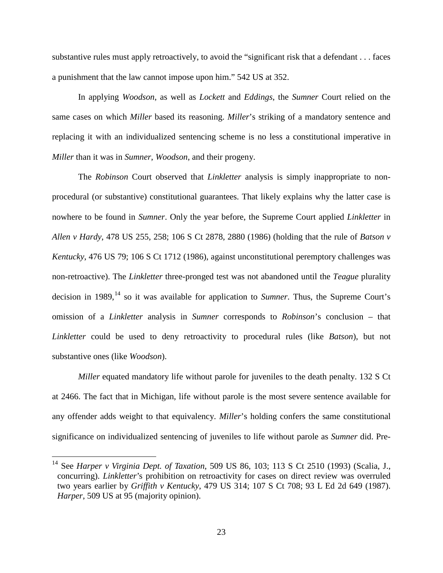substantive rules must apply retroactively, to avoid the "significant risk that a defendant . . . faces a punishment that the law cannot impose upon him." 542 US at 352.

In applying *Woodson*, as well as *Lockett* and *Eddings*, the *Sumner* Court relied on the same cases on which *Miller* based its reasoning. *Miller*'s striking of a mandatory sentence and replacing it with an individualized sentencing scheme is no less a constitutional imperative in *Miller* than it was in *Sumner*, *Woodson*, and their progeny.

The *Robinson* Court observed that *Linkletter* analysis is simply inappropriate to nonprocedural (or substantive) constitutional guarantees. That likely explains why the latter case is nowhere to be found in *Sumner*. Only the year before, the Supreme Court applied *Linkletter* in *Allen v Hardy*, 478 US 255, 258; 106 S Ct 2878, 2880 (1986) (holding that the rule of *Batson v Kentucky*, 476 US 79; 106 S Ct 1712 (1986), against unconstitutional peremptory challenges was non-retroactive). The *Linkletter* three-pronged test was not abandoned until the *Teague* plurality decision in 1989, [14](#page-29-0) so it was available for application to *Sumner*. Thus, the Supreme Court's omission of a *Linkletter* analysis in *Sumner* corresponds to *Robinson*'s conclusion – that *Linkletter* could be used to deny retroactivity to procedural rules (like *Batson*), but not substantive ones (like *Woodson*).

*Miller* equated mandatory life without parole for juveniles to the death penalty. 132 S Ct at 2466. The fact that in Michigan, life without parole is the most severe sentence available for any offender adds weight to that equivalency. *Miller*'s holding confers the same constitutional significance on individualized sentencing of juveniles to life without parole as *Sumner* did. Pre-

<span id="page-29-0"></span> <sup>14</sup> See *Harper v Virginia Dept. of Taxation*, 509 US 86, 103; 113 S Ct 2510 (1993) (Scalia, J., concurring). *Linkletter*'s prohibition on retroactivity for cases on direct review was overruled two years earlier by *Griffith v Kentucky*, 479 US 314; 107 S Ct 708; 93 L Ed 2d 649 (1987). *Harper*, 509 US at 95 (majority opinion).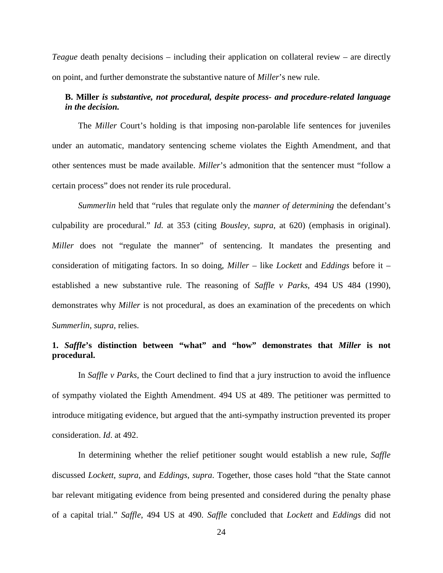*Teague* death penalty decisions – including their application on collateral review – are directly on point, and further demonstrate the substantive nature of *Miller*'s new rule.

## **B. Miller** *is substantive, not procedural, despite process- and procedure-related language in the decision.*

The *Miller* Court's holding is that imposing non-parolable life sentences for juveniles under an automatic, mandatory sentencing scheme violates the Eighth Amendment, and that other sentences must be made available. *Miller*'s admonition that the sentencer must "follow a certain process" does not render its rule procedural.

*Summerlin* held that "rules that regulate only the *manner of determining* the defendant's culpability are procedural." *Id.* at 353 (citing *Bousley*, *supra*, at 620) (emphasis in original). *Miller* does not "regulate the manner" of sentencing. It mandates the presenting and consideration of mitigating factors. In so doing, *Miller* – like *Lockett* and *Eddings* before it – established a new substantive rule. The reasoning of *Saffle v Parks*, 494 US 484 (1990), demonstrates why *Miller* is not procedural, as does an examination of the precedents on which *Summerlin*, *supra*, relies.

#### **1.** *Saffle***'s distinction between "what" and "how" demonstrates that** *Miller* **is not procedural.**

In *Saffle v Parks*, the Court declined to find that a jury instruction to avoid the influence of sympathy violated the Eighth Amendment. 494 US at 489. The petitioner was permitted to introduce mitigating evidence, but argued that the anti-sympathy instruction prevented its proper consideration. *Id*. at 492.

In determining whether the relief petitioner sought would establish a new rule, *Saffle*  discussed *Lockett*, *supra*, and *Eddings*, *supra*. Together, those cases hold "that the State cannot bar relevant mitigating evidence from being presented and considered during the penalty phase of a capital trial." *Saffle*, 494 US at 490. *Saffle* concluded that *Lockett* and *Eddings* did not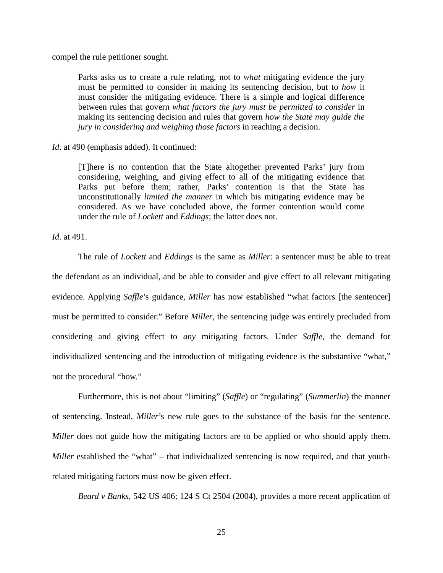compel the rule petitioner sought.

Parks asks us to create a rule relating, not to *what* mitigating evidence the jury must be permitted to consider in making its sentencing decision, but to *how* it must consider the mitigating evidence. There is a simple and logical difference between rules that govern *what factors the jury must be permitted to consider* in making its sentencing decision and rules that govern *how the State may guide the jury in considering and weighing those factors* in reaching a decision.

*Id*. at 490 (emphasis added). It continued:

[T]here is no contention that the State altogether prevented Parks' jury from considering, weighing, and giving effect to all of the mitigating evidence that Parks put before them; rather, Parks' contention is that the State has unconstitutionally *limited the manner* in which his mitigating evidence may be considered. As we have concluded above, the former contention would come under the rule of *Lockett* and *Eddings*; the latter does not.

*Id*. at 491.

The rule of *Lockett* and *Eddings* is the same as *Miller*: a sentencer must be able to treat the defendant as an individual, and be able to consider and give effect to all relevant mitigating evidence. Applying *Saffle*'s guidance, *Miller* has now established "what factors [the sentencer] must be permitted to consider." Before *Miller*, the sentencing judge was entirely precluded from considering and giving effect to *any* mitigating factors. Under *Saffle*, the demand for individualized sentencing and the introduction of mitigating evidence is the substantive "what," not the procedural "how."

Furthermore, this is not about "limiting" (*Saffle*) or "regulating" (*Summerlin*) the manner of sentencing. Instead, *Miller*'s new rule goes to the substance of the basis for the sentence. *Miller* does not guide how the mitigating factors are to be applied or who should apply them. *Miller* established the "what" – that individualized sentencing is now required, and that youthrelated mitigating factors must now be given effect.

*Beard v Banks*, 542 US 406; 124 S Ct 2504 (2004), provides a more recent application of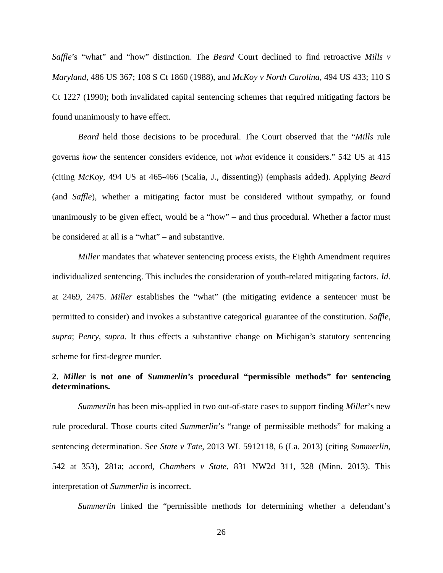*Saffle*'s "what" and "how" distinction. The *Beard* Court declined to find retroactive *Mills v Maryland*, 486 US 367; 108 S Ct 1860 (1988), and *McKoy v North Carolina*, 494 US 433; 110 S Ct 1227 (1990); both invalidated capital sentencing schemes that required mitigating factors be found unanimously to have effect.

*Beard* held those decisions to be procedural. The Court observed that the "*Mills* rule governs *how* the sentencer considers evidence, not *what* evidence it considers." 542 US at 415 (citing *McKoy*, 494 US at 465-466 (Scalia, J., dissenting)) (emphasis added). Applying *Beard* (and *Saffle*), whether a mitigating factor must be considered without sympathy, or found unanimously to be given effect, would be a "how" – and thus procedural. Whether a factor must be considered at all is a "what" – and substantive.

*Miller* mandates that whatever sentencing process exists, the Eighth Amendment requires individualized sentencing. This includes the consideration of youth-related mitigating factors. *Id*. at 2469, 2475. *Miller* establishes the "what" (the mitigating evidence a sentencer must be permitted to consider) and invokes a substantive categorical guarantee of the constitution. *Saffle*, *supra*; *Penry*, *supra.* It thus effects a substantive change on Michigan's statutory sentencing scheme for first-degree murder.

## **2.** *Miller* **is not one of** *Summerlin***'s procedural "permissible methods" for sentencing determinations.**

*Summerlin* has been mis-applied in two out-of-state cases to support finding *Miller*'s new rule procedural. Those courts cited *Summerlin*'s "range of permissible methods" for making a sentencing determination. See *State v Tate*, 2013 WL 5912118, 6 (La. 2013) (citing *Summerlin*, 542 at 353), 281a; accord, *Chambers v State*, 831 NW2d 311, 328 (Minn. 2013). This interpretation of *Summerlin* is incorrect.

*Summerlin* linked the "permissible methods for determining whether a defendant's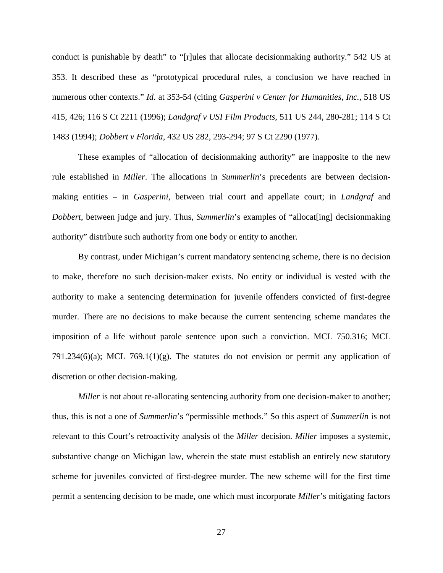conduct is punishable by death" to "[r]ules that allocate decisionmaking authority." 542 US at 353. It described these as "prototypical procedural rules, a conclusion we have reached in numerous other contexts." *Id*. at 353-54 (citing *Gasperini v Center for Humanities, Inc.*, 518 US 415, 426; 116 S Ct 2211 (1996); *Landgraf v USI Film Products*, 511 US 244, 280-281; 114 S Ct 1483 (1994); *Dobbert v Florida*, 432 US 282, 293-294; 97 S Ct 2290 (1977).

These examples of "allocation of decisionmaking authority" are inapposite to the new rule established in *Miller*. The allocations in *Summerlin*'s precedents are between decisionmaking entities – in *Gasperini*, between trial court and appellate court; in *Landgraf* and *Dobbert*, between judge and jury. Thus, *Summerlin*'s examples of "allocat[ing] decisionmaking authority" distribute such authority from one body or entity to another.

By contrast, under Michigan's current mandatory sentencing scheme, there is no decision to make, therefore no such decision-maker exists. No entity or individual is vested with the authority to make a sentencing determination for juvenile offenders convicted of first-degree murder. There are no decisions to make because the current sentencing scheme mandates the imposition of a life without parole sentence upon such a conviction. MCL 750.316; MCL 791.234(6)(a); MCL 769.1(1)(g). The statutes do not envision or permit any application of discretion or other decision-making.

*Miller* is not about re-allocating sentencing authority from one decision-maker to another; thus, this is not a one of *Summerlin*'s "permissible methods." So this aspect of *Summerlin* is not relevant to this Court's retroactivity analysis of the *Miller* decision. *Miller* imposes a systemic, substantive change on Michigan law, wherein the state must establish an entirely new statutory scheme for juveniles convicted of first-degree murder. The new scheme will for the first time permit a sentencing decision to be made, one which must incorporate *Miller*'s mitigating factors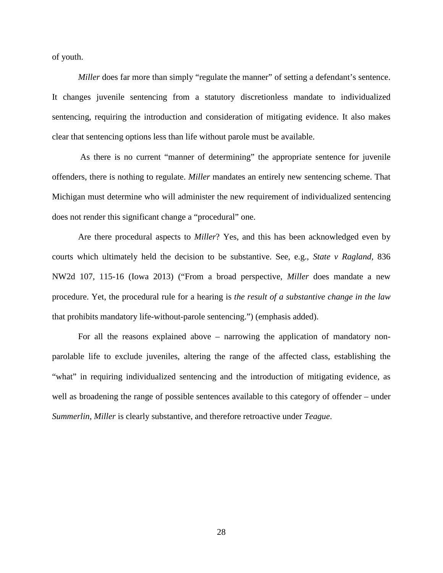of youth.

*Miller* does far more than simply "regulate the manner" of setting a defendant's sentence. It changes juvenile sentencing from a statutory discretionless mandate to individualized sentencing, requiring the introduction and consideration of mitigating evidence. It also makes clear that sentencing options less than life without parole must be available.

As there is no current "manner of determining" the appropriate sentence for juvenile offenders, there is nothing to regulate. *Miller* mandates an entirely new sentencing scheme. That Michigan must determine who will administer the new requirement of individualized sentencing does not render this significant change a "procedural" one.

Are there procedural aspects to *Miller*? Yes, and this has been acknowledged even by courts which ultimately held the decision to be substantive. See, e.g., *State v Ragland*, 836 NW2d 107, 115-16 (Iowa 2013) ("From a broad perspective, *Miller* does mandate a new procedure. Yet, the procedural rule for a hearing is *the result of a substantive change in the law* that prohibits mandatory life-without-parole sentencing.") (emphasis added).

For all the reasons explained above – narrowing the application of mandatory nonparolable life to exclude juveniles, altering the range of the affected class, establishing the "what" in requiring individualized sentencing and the introduction of mitigating evidence, as well as broadening the range of possible sentences available to this category of offender – under *Summerlin*, *Miller* is clearly substantive, and therefore retroactive under *Teague*.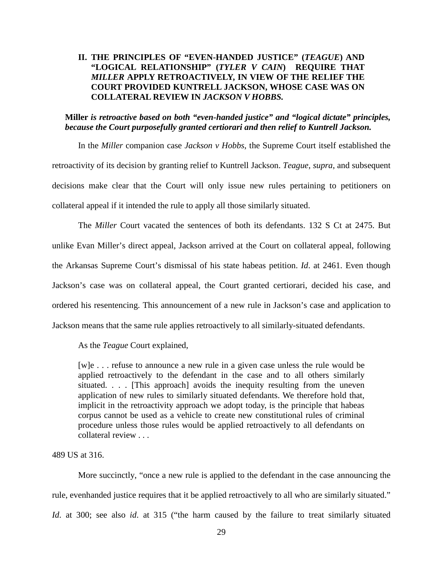## <span id="page-35-0"></span>**II. THE PRINCIPLES OF "EVEN-HANDED JUSTICE" (***TEAGUE***) AND "LOGICAL RELATIONSHIP" (***TYLER V CAIN***) REQUIRE THAT**  *MILLER* **APPLY RETROACTIVELY, IN VIEW OF THE RELIEF THE COURT PROVIDED KUNTRELL JACKSON, WHOSE CASE WAS ON COLLATERAL REVIEW IN** *JACKSON V HOBBS.*

## **Miller** *is retroactive based on both "even-handed justice" and "logical dictate" principles, because the Court purposefully granted certiorari and then relief to Kuntrell Jackson.*

In the *Miller* companion case *Jackson v Hobbs*, the Supreme Court itself established the retroactivity of its decision by granting relief to Kuntrell Jackson. *Teague*, *supra*, and subsequent decisions make clear that the Court will only issue new rules pertaining to petitioners on collateral appeal if it intended the rule to apply all those similarly situated.

The *Miller* Court vacated the sentences of both its defendants. 132 S Ct at 2475. But unlike Evan Miller's direct appeal, Jackson arrived at the Court on collateral appeal, following the Arkansas Supreme Court's dismissal of his state habeas petition. *Id*. at 2461. Even though Jackson's case was on collateral appeal, the Court granted certiorari, decided his case, and ordered his resentencing. This announcement of a new rule in Jackson's case and application to Jackson means that the same rule applies retroactively to all similarly-situated defendants.

As the *Teague* Court explained,

[w]e . . . refuse to announce a new rule in a given case unless the rule would be applied retroactively to the defendant in the case and to all others similarly situated. . . . [This approach] avoids the inequity resulting from the uneven application of new rules to similarly situated defendants. We therefore hold that, implicit in the retroactivity approach we adopt today, is the principle that habeas corpus cannot be used as a vehicle to create new constitutional rules of criminal procedure unless those rules would be applied retroactively to all defendants on collateral review . . .

489 US at 316.

More succinctly, "once a new rule is applied to the defendant in the case announcing the rule, evenhanded justice requires that it be applied retroactively to all who are similarly situated." *Id*. at 300; see also *id*. at 315 ("the harm caused by the failure to treat similarly situated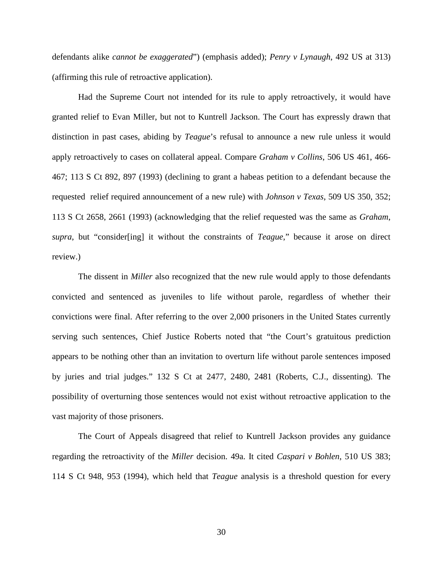defendants alike *cannot be exaggerated*") (emphasis added); *Penry v Lynaugh*, 492 US at 313) (affirming this rule of retroactive application).

Had the Supreme Court not intended for its rule to apply retroactively, it would have granted relief to Evan Miller, but not to Kuntrell Jackson. The Court has expressly drawn that distinction in past cases, abiding by *Teague*'s refusal to announce a new rule unless it would apply retroactively to cases on collateral appeal. Compare *Graham v Collins*, 506 US 461, 466- 467; 113 S Ct 892, 897 (1993) (declining to grant a habeas petition to a defendant because the requested relief required announcement of a new rule) with *Johnson v Texas*, 509 US 350, 352; 113 S Ct 2658, 2661 (1993) (acknowledging that the relief requested was the same as *Graham*, *supra*, but "consider[ing] it without the constraints of *Teague*," because it arose on direct review.)

The dissent in *Miller* also recognized that the new rule would apply to those defendants convicted and sentenced as juveniles to life without parole, regardless of whether their convictions were final. After referring to the over 2,000 prisoners in the United States currently serving such sentences, Chief Justice Roberts noted that "the Court's gratuitous prediction appears to be nothing other than an invitation to overturn life without parole sentences imposed by juries and trial judges." 132 S Ct at 2477, 2480, 2481 (Roberts, C.J., dissenting). The possibility of overturning those sentences would not exist without retroactive application to the vast majority of those prisoners.

The Court of Appeals disagreed that relief to Kuntrell Jackson provides any guidance regarding the retroactivity of the *Miller* decision. 49a. It cited *Caspari v Bohlen*, 510 US 383; 114 S Ct 948, 953 (1994), which held that *Teague* analysis is a threshold question for every

30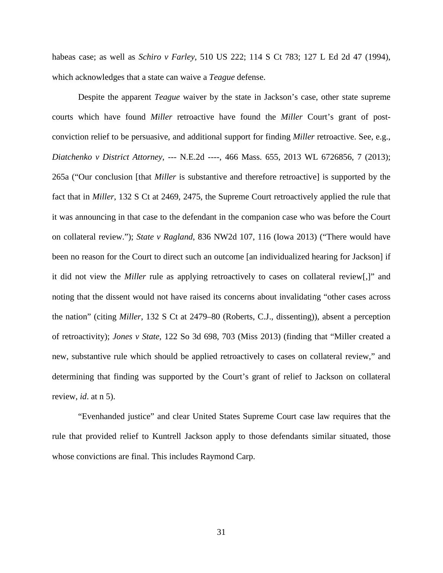habeas case; as well as *Schiro v Farley*, 510 US 222; 114 S Ct 783; 127 L Ed 2d 47 (1994), which acknowledges that a state can waive a *Teague* defense.

Despite the apparent *Teague* waiver by the state in Jackson's case, other state supreme courts which have found *Miller* retroactive have found the *Miller* Court's grant of postconviction relief to be persuasive, and additional support for finding *Miller* retroactive. See, e.g., *Diatchenko v District Attorney*, --- N.E.2d ----, 466 Mass. 655, 2013 WL 6726856, 7 (2013); 265a ("Our conclusion [that *Miller* is substantive and therefore retroactive] is supported by the fact that in *Miller*, 132 S Ct at 2469, 2475, the Supreme Court retroactively applied the rule that it was announcing in that case to the defendant in the companion case who was before the Court on collateral review."); *State v Ragland*, 836 NW2d 107, 116 (Iowa 2013) ("There would have been no reason for the Court to direct such an outcome [an individualized hearing for Jackson] if it did not view the *Miller* rule as applying retroactively to cases on collateral review[,]" and noting that the dissent would not have raised its concerns about invalidating "other cases across the nation" (citing *Miller*, 132 S Ct at 2479–80 (Roberts, C.J., dissenting)), absent a perception of retroactivity); *Jones v State*, 122 So 3d 698, 703 (Miss 2013) (finding that "Miller created a new, substantive rule which should be applied retroactively to cases on collateral review," and determining that finding was supported by the Court's grant of relief to Jackson on collateral review, *id*. at n 5).

"Evenhanded justice" and clear United States Supreme Court case law requires that the rule that provided relief to Kuntrell Jackson apply to those defendants similar situated, those whose convictions are final. This includes Raymond Carp.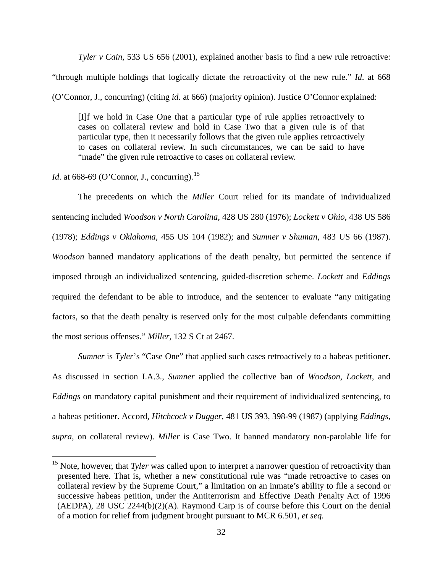*Tyler v Cain*, 533 US 656 (2001), explained another basis to find a new rule retroactive: "through multiple holdings that logically dictate the retroactivity of the new rule." *Id*. at 668 (O'Connor, J., concurring) (citing *id*. at 666) (majority opinion). Justice O'Connor explained:

[I]f we hold in Case One that a particular type of rule applies retroactively to cases on collateral review and hold in Case Two that a given rule is of that particular type, then it necessarily follows that the given rule applies retroactively to cases on collateral review. In such circumstances, we can be said to have "made" the given rule retroactive to cases on collateral review.

*Id.* at 668-69 (O'Connor, J., concurring).<sup>[15](#page-38-0)</sup>

The precedents on which the *Miller* Court relied for its mandate of individualized sentencing included *Woodson v North Carolina*, 428 US 280 (1976); *Lockett v Ohio*, 438 US 586 (1978); *Eddings v Oklahoma*, 455 US 104 (1982); and *Sumner v Shuman*, 483 US 66 (1987). *Woodson* banned mandatory applications of the death penalty, but permitted the sentence if imposed through an individualized sentencing, guided-discretion scheme. *Lockett* and *Eddings* required the defendant to be able to introduce, and the sentencer to evaluate "any mitigating factors, so that the death penalty is reserved only for the most culpable defendants committing the most serious offenses." *Miller*, 132 S Ct at 2467.

*Sumner* is *Tyler*'s "Case One" that applied such cases retroactively to a habeas petitioner. As discussed in section I.A.3., *Sumner* applied the collective ban of *Woodson*, *Lockett*, and *Eddings* on mandatory capital punishment and their requirement of individualized sentencing, to a habeas petitioner. Accord, *Hitchcock v Dugger*, 481 US 393, 398-99 (1987) (applying *Eddings*, *supra*, on collateral review). *Miller* is Case Two. It banned mandatory non-parolable life for

<span id="page-38-0"></span><sup>&</sup>lt;sup>15</sup> Note, however, that *Tyler* was called upon to interpret a narrower question of retroactivity than presented here. That is, whether a new constitutional rule was "made retroactive to cases on collateral review by the Supreme Court," a limitation on an inmate's ability to file a second or successive habeas petition, under the Antiterrorism and Effective Death Penalty Act of 1996 (AEDPA), 28 USC 2244(b)(2)(A). Raymond Carp is of course before this Court on the denial of a motion for relief from judgment brought pursuant to MCR 6.501, *et seq.*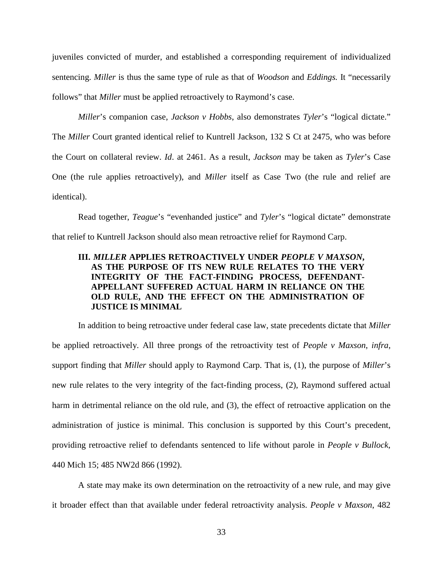juveniles convicted of murder, and established a corresponding requirement of individualized sentencing. *Miller* is thus the same type of rule as that of *Woodson* and *Eddings.* It "necessarily follows" that *Miller* must be applied retroactively to Raymond's case.

*Miller*'s companion case, *Jackson v Hobbs*, also demonstrates *Tyler*'s "logical dictate." The *Miller* Court granted identical relief to Kuntrell Jackson, 132 S Ct at 2475, who was before the Court on collateral review. *Id*. at 2461. As a result, *Jackson* may be taken as *Tyler*'s Case One (the rule applies retroactively), and *Miller* itself as Case Two (the rule and relief are identical).

Read together, *Teague*'s "evenhanded justice" and *Tyler*'s "logical dictate" demonstrate that relief to Kuntrell Jackson should also mean retroactive relief for Raymond Carp.

## <span id="page-39-0"></span>**III.** *MILLER* **APPLIES RETROACTIVELY UNDER** *PEOPLE V MAXSON***, AS THE PURPOSE OF ITS NEW RULE RELATES TO THE VERY INTEGRITY OF THE FACT-FINDING PROCESS, DEFENDANT-APPELLANT SUFFERED ACTUAL HARM IN RELIANCE ON THE OLD RULE, AND THE EFFECT ON THE ADMINISTRATION OF JUSTICE IS MINIMAL**

In addition to being retroactive under federal case law, state precedents dictate that *Miller* be applied retroactively. All three prongs of the retroactivity test of *People v Maxson*, *infra*, support finding that *Miller* should apply to Raymond Carp. That is, (1), the purpose of *Miller*'s new rule relates to the very integrity of the fact-finding process, (2), Raymond suffered actual harm in detrimental reliance on the old rule, and (3), the effect of retroactive application on the administration of justice is minimal. This conclusion is supported by this Court's precedent, providing retroactive relief to defendants sentenced to life without parole in *People v Bullock*, 440 Mich 15; 485 NW2d 866 (1992).

A state may make its own determination on the retroactivity of a new rule, and may give it broader effect than that available under federal retroactivity analysis. *People v Maxson*, 482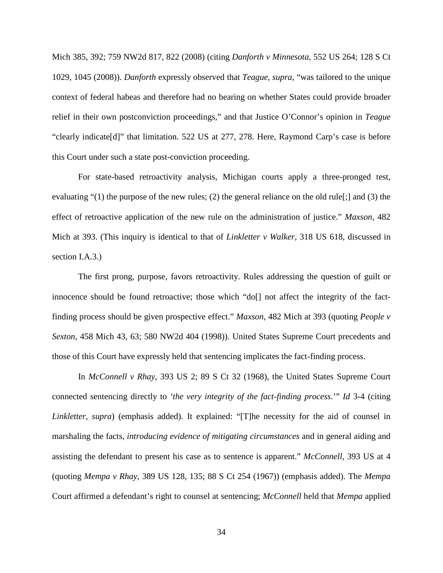Mich 385, 392; 759 NW2d 817, 822 (2008) (citing *Danforth v Minnesota*, 552 US 264; 128 S Ct 1029, 1045 (2008)). *Danforth* expressly observed that *Teague*, *supra*, "was tailored to the unique context of federal habeas and therefore had no bearing on whether States could provide broader relief in their own postconviction proceedings," and that Justice O'Connor's opinion in *Teague*  "clearly indicate[d]" that limitation. 522 US at 277, 278. Here, Raymond Carp's case is before this Court under such a state post-conviction proceeding.

For state-based retroactivity analysis, Michigan courts apply a three-pronged test, evaluating "(1) the purpose of the new rules; (2) the general reliance on the old rule[;] and (3) the effect of retroactive application of the new rule on the administration of justice." *Maxson*, 482 Mich at 393. (This inquiry is identical to that of *Linkletter v Walker*, 318 US 618, discussed in section I.A.3.)

The first prong, purpose, favors retroactivity. Rules addressing the question of guilt or innocence should be found retroactive; those which "do[] not affect the integrity of the factfinding process should be given prospective effect." *Maxson*, 482 Mich at 393 (quoting *People v Sexton*, 458 Mich 43, 63; 580 NW2d 404 (1998)). United States Supreme Court precedents and those of this Court have expressly held that sentencing implicates the fact-finding process.

In *McConnell v Rhay*, 393 US 2; 89 S Ct 32 (1968), the United States Supreme Court connected sentencing directly to *'the very integrity of the fact-finding process*.'" *Id* 3-4 (citing *Linkletter*, *supra*) (emphasis added). It explained: "[T]he necessity for the aid of counsel in marshaling the facts, *introducing evidence of mitigating circumstances* and in general aiding and assisting the defendant to present his case as to sentence is apparent." *McConnell*, 393 US at 4 (quoting *Mempa v Rhay*, 389 US 128, 135; 88 S Ct 254 (1967)) (emphasis added). The *Mempa* Court affirmed a defendant's right to counsel at sentencing; *McConnell* held that *Mempa* applied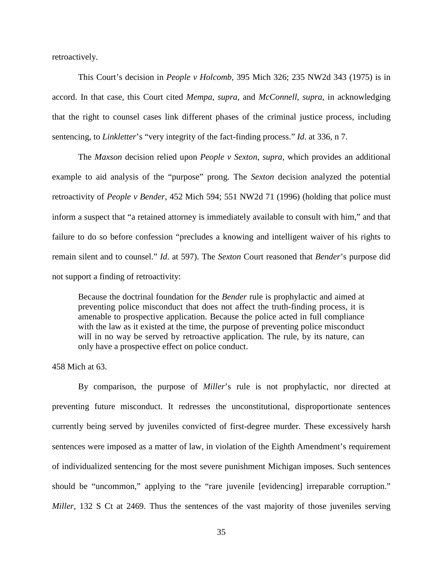retroactively.

This Court's decision in *People v Holcomb*, 395 Mich 326; 235 NW2d 343 (1975) is in accord. In that case, this Court cited *Mempa*, *supra*, and *McConnell*, *supra*, in acknowledging that the right to counsel cases link different phases of the criminal justice process, including sentencing, to *Linkletter*'s "very integrity of the fact-finding process." *Id*. at 336, n 7.

The *Maxson* decision relied upon *People v Sexton*, *supra,* which provides an additional example to aid analysis of the "purpose" prong. The *Sexton* decision analyzed the potential retroactivity of *People v Bender*, 452 Mich 594; 551 NW2d 71 (1996) (holding that police must inform a suspect that "a retained attorney is immediately available to consult with him," and that failure to do so before confession "precludes a knowing and intelligent waiver of his rights to remain silent and to counsel." *Id*. at 597). The *Sexton* Court reasoned that *Bender*'s purpose did not support a finding of retroactivity:

Because the doctrinal foundation for the *Bender* rule is prophylactic and aimed at preventing police misconduct that does not affect the truth-finding process, it is amenable to prospective application. Because the police acted in full compliance with the law as it existed at the time, the purpose of preventing police misconduct will in no way be served by retroactive application. The rule, by its nature, can only have a prospective effect on police conduct.

458 Mich at 63.

By comparison, the purpose of *Miller*'s rule is not prophylactic, nor directed at preventing future misconduct. It redresses the unconstitutional, disproportionate sentences currently being served by juveniles convicted of first-degree murder. These excessively harsh sentences were imposed as a matter of law, in violation of the Eighth Amendment's requirement of individualized sentencing for the most severe punishment Michigan imposes. Such sentences should be "uncommon," applying to the "rare juvenile [evidencing] irreparable corruption." *Miller*, 132 S Ct at 2469. Thus the sentences of the vast majority of those juveniles serving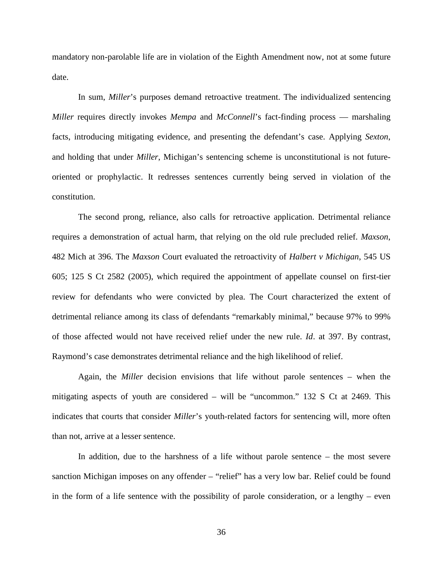mandatory non-parolable life are in violation of the Eighth Amendment now, not at some future date.

In sum, *Miller*'s purposes demand retroactive treatment. The individualized sentencing *Miller* requires directly invokes *Mempa* and *McConnell*'s fact-finding process — marshaling facts, introducing mitigating evidence, and presenting the defendant's case. Applying *Sexton*, and holding that under *Miller*, Michigan's sentencing scheme is unconstitutional is not futureoriented or prophylactic. It redresses sentences currently being served in violation of the constitution.

The second prong, reliance, also calls for retroactive application. Detrimental reliance requires a demonstration of actual harm, that relying on the old rule precluded relief. *Maxson*, 482 Mich at 396. The *Maxson* Court evaluated the retroactivity of *Halbert v Michigan*, 545 US 605; 125 S Ct 2582 (2005), which required the appointment of appellate counsel on first-tier review for defendants who were convicted by plea. The Court characterized the extent of detrimental reliance among its class of defendants "remarkably minimal," because 97% to 99% of those affected would not have received relief under the new rule. *Id*. at 397. By contrast, Raymond's case demonstrates detrimental reliance and the high likelihood of relief.

Again, the *Miller* decision envisions that life without parole sentences – when the mitigating aspects of youth are considered – will be "uncommon." 132 S Ct at 2469. This indicates that courts that consider *Miller*'s youth-related factors for sentencing will, more often than not, arrive at a lesser sentence.

In addition, due to the harshness of a life without parole sentence – the most severe sanction Michigan imposes on any offender – "relief" has a very low bar. Relief could be found in the form of a life sentence with the possibility of parole consideration, or a lengthy – even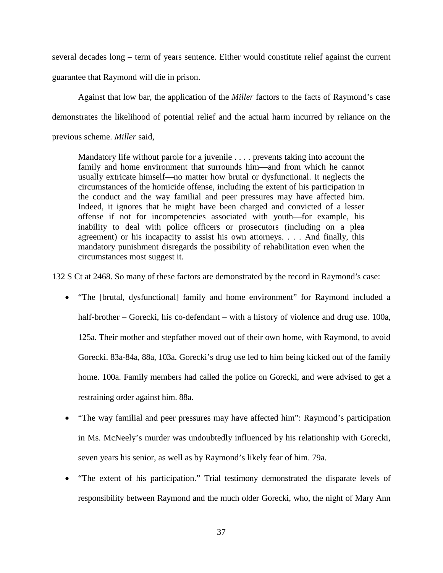several decades long – term of years sentence. Either would constitute relief against the current guarantee that Raymond will die in prison.

Against that low bar, the application of the *Miller* factors to the facts of Raymond's case demonstrates the likelihood of potential relief and the actual harm incurred by reliance on the previous scheme. *Miller* said,

Mandatory life without parole for a juvenile . . . . prevents taking into account the family and home environment that surrounds him—and from which he cannot usually extricate himself—no matter how brutal or dysfunctional. It neglects the circumstances of the homicide offense, including the extent of his participation in the conduct and the way familial and peer pressures may have affected him. Indeed, it ignores that he might have been charged and convicted of a lesser offense if not for incompetencies associated with youth—for example, his inability to deal with police officers or prosecutors (including on a plea agreement) or his incapacity to assist his own attorneys. . . . And finally, this mandatory punishment disregards the possibility of rehabilitation even when the circumstances most suggest it.

132 S Ct at 2468. So many of these factors are demonstrated by the record in Raymond's case:

- "The [brutal, dysfunctional] family and home environment" for Raymond included a half-brother – Gorecki, his co-defendant – with a history of violence and drug use. 100a, 125a. Their mother and stepfather moved out of their own home, with Raymond, to avoid Gorecki. 83a-84a, 88a, 103a. Gorecki's drug use led to him being kicked out of the family home. 100a. Family members had called the police on Gorecki, and were advised to get a restraining order against him. 88a.
- "The way familial and peer pressures may have affected him": Raymond's participation in Ms. McNeely's murder was undoubtedly influenced by his relationship with Gorecki, seven years his senior, as well as by Raymond's likely fear of him. 79a.
- "The extent of his participation." Trial testimony demonstrated the disparate levels of responsibility between Raymond and the much older Gorecki, who, the night of Mary Ann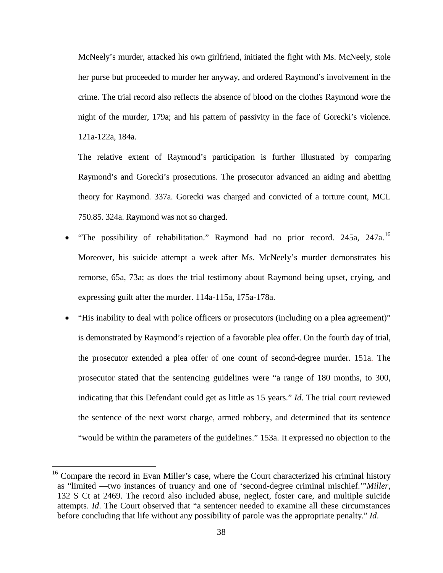McNeely's murder, attacked his own girlfriend, initiated the fight with Ms. McNeely, stole her purse but proceeded to murder her anyway, and ordered Raymond's involvement in the crime. The trial record also reflects the absence of blood on the clothes Raymond wore the night of the murder, 179a; and his pattern of passivity in the face of Gorecki's violence. 121a-122a, 184a.

The relative extent of Raymond's participation is further illustrated by comparing Raymond's and Gorecki's prosecutions. The prosecutor advanced an aiding and abetting theory for Raymond. 337a. Gorecki was charged and convicted of a torture count, MCL 750.85. 324a. Raymond was not so charged.

- "The possibility of rehabilitation." Raymond had no prior record. 245a, 247a.<sup>[16](#page-44-0)</sup> Moreover, his suicide attempt a week after Ms. McNeely's murder demonstrates his remorse, 65a, 73a; as does the trial testimony about Raymond being upset, crying, and expressing guilt after the murder. 114a-115a, 175a-178a.
- "His inability to deal with police officers or prosecutors (including on a plea agreement)" is demonstrated by Raymond's rejection of a favorable plea offer. On the fourth day of trial, the prosecutor extended a plea offer of one count of second-degree murder. 151a. The prosecutor stated that the sentencing guidelines were "a range of 180 months, to 300, indicating that this Defendant could get as little as 15 years." *Id*. The trial court reviewed the sentence of the next worst charge, armed robbery, and determined that its sentence "would be within the parameters of the guidelines." 153a. It expressed no objection to the

<span id="page-44-0"></span> $16$  Compare the record in Evan Miller's case, where the Court characterized his criminal history as "limited —two instances of truancy and one of 'second-degree criminal mischief.'"*Miller*, 132 S Ct at 2469. The record also included abuse, neglect, foster care, and multiple suicide attempts. *Id*. The Court observed that "a sentencer needed to examine all these circumstances before concluding that life without any possibility of parole was the appropriate penalty." *Id*.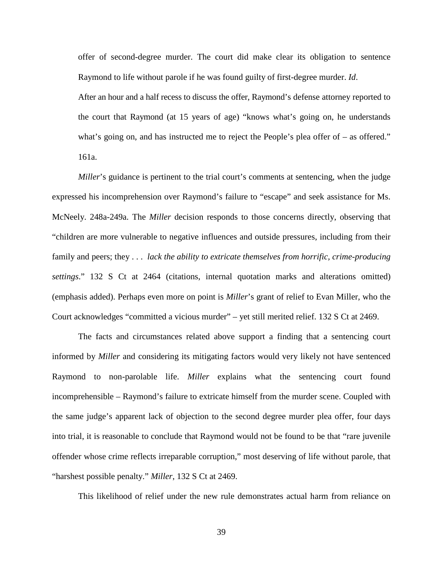offer of second-degree murder. The court did make clear its obligation to sentence Raymond to life without parole if he was found guilty of first-degree murder. *Id*.

After an hour and a half recess to discuss the offer, Raymond's defense attorney reported to the court that Raymond (at 15 years of age) "knows what's going on, he understands what's going on, and has instructed me to reject the People's plea offer of – as offered." 161a.

*Miller*'s guidance is pertinent to the trial court's comments at sentencing, when the judge expressed his incomprehension over Raymond's failure to "escape" and seek assistance for Ms. McNeely. 248a-249a. The *Miller* decision responds to those concerns directly, observing that "children are more vulnerable to negative influences and outside pressures, including from their family and peers; they . . . *lack the ability to extricate themselves from horrific, crime-producing settings*." 132 S Ct at 2464 (citations, internal quotation marks and alterations omitted) (emphasis added). Perhaps even more on point is *Miller*'s grant of relief to Evan Miller, who the Court acknowledges "committed a vicious murder" – yet still merited relief. 132 S Ct at 2469.

The facts and circumstances related above support a finding that a sentencing court informed by *Miller* and considering its mitigating factors would very likely not have sentenced Raymond to non-parolable life. *Miller* explains what the sentencing court found incomprehensible – Raymond's failure to extricate himself from the murder scene. Coupled with the same judge's apparent lack of objection to the second degree murder plea offer, four days into trial, it is reasonable to conclude that Raymond would not be found to be that "rare juvenile offender whose crime reflects irreparable corruption," most deserving of life without parole, that "harshest possible penalty." *Miller*, 132 S Ct at 2469.

This likelihood of relief under the new rule demonstrates actual harm from reliance on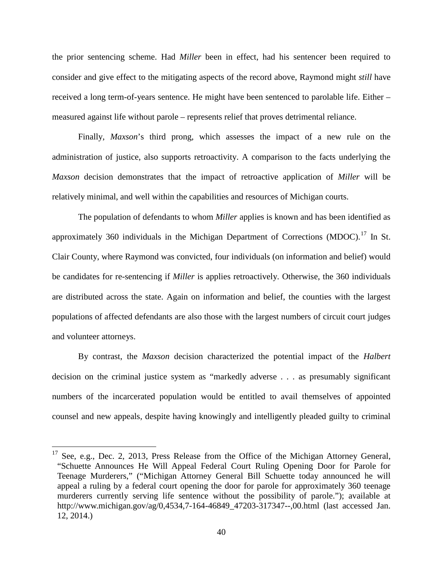the prior sentencing scheme. Had *Miller* been in effect, had his sentencer been required to consider and give effect to the mitigating aspects of the record above, Raymond might *still* have received a long term-of-years sentence. He might have been sentenced to parolable life. Either – measured against life without parole – represents relief that proves detrimental reliance.

Finally, *Maxson*'s third prong, which assesses the impact of a new rule on the administration of justice, also supports retroactivity. A comparison to the facts underlying the *Maxson* decision demonstrates that the impact of retroactive application of *Miller* will be relatively minimal, and well within the capabilities and resources of Michigan courts.

The population of defendants to whom *Miller* applies is known and has been identified as approximately 360 individuals in the Michigan Department of Corrections (MDOC).<sup>[17](#page-46-0)</sup> In St. Clair County, where Raymond was convicted, four individuals (on information and belief) would be candidates for re-sentencing if *Miller* is applies retroactively. Otherwise, the 360 individuals are distributed across the state. Again on information and belief, the counties with the largest populations of affected defendants are also those with the largest numbers of circuit court judges and volunteer attorneys.

By contrast, the *Maxson* decision characterized the potential impact of the *Halbert* decision on the criminal justice system as "markedly adverse . . . as presumably significant numbers of the incarcerated population would be entitled to avail themselves of appointed counsel and new appeals, despite having knowingly and intelligently pleaded guilty to criminal

<span id="page-46-0"></span><sup>&</sup>lt;sup>17</sup> See, e.g., Dec. 2, 2013, Press Release from the Office of the Michigan Attorney General, "Schuette Announces He Will Appeal Federal Court Ruling Opening Door for Parole for Teenage Murderers," ("Michigan Attorney General Bill Schuette today announced he will appeal a ruling by a federal court opening the door for parole for approximately 360 teenage murderers currently serving life sentence without the possibility of parole."); available at http://www.michigan.gov/ag/0,4534,7-164-46849 47203-317347--,00.html (last accessed Jan. 12, 2014.)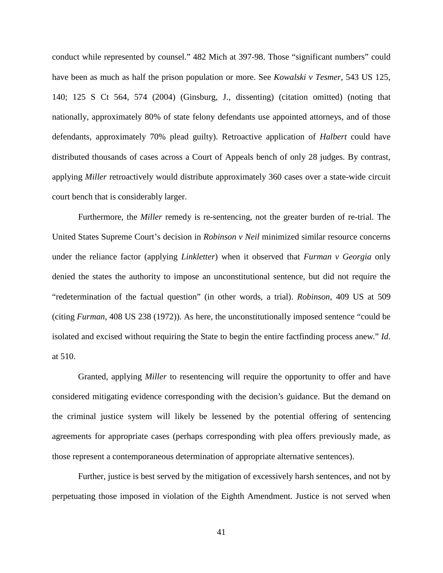conduct while represented by counsel." 482 Mich at 397-98. Those "significant numbers" could have been as much as half the prison population or more. See *Kowalski v Tesmer*, 543 US 125, 140; 125 S Ct 564, 574 (2004) (Ginsburg, J., dissenting) (citation omitted) (noting that nationally, approximately 80% of state felony defendants use appointed attorneys, and of those defendants, approximately 70% plead guilty). Retroactive application of *Halbert* could have distributed thousands of cases across a Court of Appeals bench of only 28 judges. By contrast, applying *Miller* retroactively would distribute approximately 360 cases over a state-wide circuit court bench that is considerably larger.

Furthermore, the *Miller* remedy is re-sentencing, not the greater burden of re-trial. The United States Supreme Court's decision in *Robinson v Neil* minimized similar resource concerns under the reliance factor (applying *Linkletter*) when it observed that *Furman v Georgia* only denied the states the authority to impose an unconstitutional sentence, but did not require the "redetermination of the factual question" (in other words, a trial). *Robinson*, 409 US at 509 (citing *Furman*, 408 US 238 (1972)). As here, the unconstitutionally imposed sentence "could be isolated and excised without requiring the State to begin the entire factfinding process anew." *Id*. at 510.

Granted, applying *Miller* to resentencing will require the opportunity to offer and have considered mitigating evidence corresponding with the decision's guidance. But the demand on the criminal justice system will likely be lessened by the potential offering of sentencing agreements for appropriate cases (perhaps corresponding with plea offers previously made, as those represent a contemporaneous determination of appropriate alternative sentences).

Further, justice is best served by the mitigation of excessively harsh sentences, and not by perpetuating those imposed in violation of the Eighth Amendment. Justice is not served when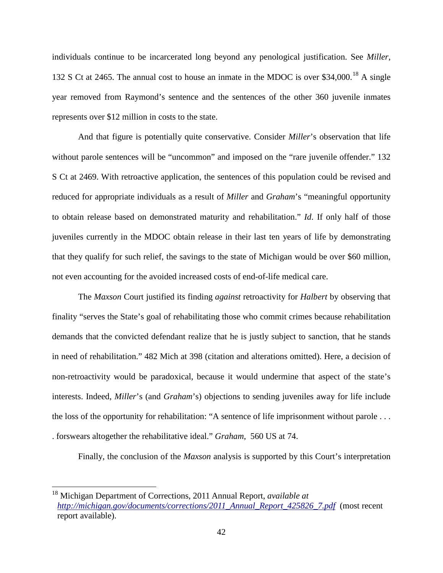individuals continue to be incarcerated long beyond any penological justification. See *Miller*, 132 S Ct at 2465. The annual cost to house an inmate in the MDOC is over \$34,000.<sup>[18](#page-48-0)</sup> A single year removed from Raymond's sentence and the sentences of the other 360 juvenile inmates represents over \$12 million in costs to the state.

And that figure is potentially quite conservative. Consider *Miller*'s observation that life without parole sentences will be "uncommon" and imposed on the "rare juvenile offender." 132 S Ct at 2469. With retroactive application, the sentences of this population could be revised and reduced for appropriate individuals as a result of *Miller* and *Graham*'s "meaningful opportunity to obtain release based on demonstrated maturity and rehabilitation." *Id*. If only half of those juveniles currently in the MDOC obtain release in their last ten years of life by demonstrating that they qualify for such relief, the savings to the state of Michigan would be over \$60 million, not even accounting for the avoided increased costs of end-of-life medical care.

The *Maxson* Court justified its finding *against* retroactivity for *Halbert* by observing that finality "serves the State's goal of rehabilitating those who commit crimes because rehabilitation demands that the convicted defendant realize that he is justly subject to sanction, that he stands in need of rehabilitation." 482 Mich at 398 (citation and alterations omitted). Here, a decision of non-retroactivity would be paradoxical, because it would undermine that aspect of the state's interests. Indeed, *Miller*'s (and *Graham*'s) objections to sending juveniles away for life include the loss of the opportunity for rehabilitation: "A sentence of life imprisonment without parole . . . . forswears altogether the rehabilitative ideal." *Graham*, 560 US at 74.

Finally, the conclusion of the *Maxson* analysis is supported by this Court's interpretation

<span id="page-48-0"></span> <sup>18</sup> Michigan Department of Corrections, 2011 Annual Report, *available at [http://michigan.gov/documents/corrections/2011\\_Annual\\_Report\\_425826\\_7.pdf](http://michigan.gov/documents/corrections/2011_Annual_Report_425826_7.pdf)* (most recent report available).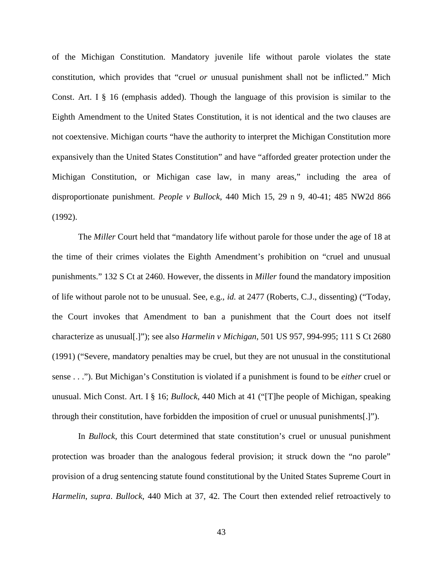of the Michigan Constitution. Mandatory juvenile life without parole violates the state constitution, which provides that "cruel *or* unusual punishment shall not be inflicted." Mich Const. Art. I § 16 (emphasis added). Though the language of this provision is similar to the Eighth Amendment to the United States Constitution, it is not identical and the two clauses are not coextensive. Michigan courts "have the authority to interpret the Michigan Constitution more expansively than the United States Constitution" and have "afforded greater protection under the Michigan Constitution, or Michigan case law, in many areas," including the area of disproportionate punishment. *People v Bullock*, 440 Mich 15, 29 n 9, 40-41; 485 NW2d 866 (1992).

The *Miller* Court held that "mandatory life without parole for those under the age of 18 at the time of their crimes violates the Eighth Amendment's prohibition on "cruel and unusual punishments." 132 S Ct at 2460. However, the dissents in *Miller* found the mandatory imposition of life without parole not to be unusual. See, e.g., *id.* at 2477 (Roberts, C.J., dissenting) ("Today, the Court invokes that Amendment to ban a punishment that the Court does not itself characterize as unusual[.]"); see also *Harmelin v Michigan*, 501 US 957, 994-995; 111 S Ct 2680 (1991) ("Severe, mandatory penalties may be cruel, but they are not unusual in the constitutional sense . . ."). But Michigan's Constitution is violated if a punishment is found to be *either* cruel or unusual. Mich Const. Art. I § 16; *Bullock*, 440 Mich at 41 ("[T]he people of Michigan, speaking through their constitution, have forbidden the imposition of cruel or unusual punishments[.]").

In *Bullock*, this Court determined that state constitution's cruel or unusual punishment protection was broader than the analogous federal provision; it struck down the "no parole" provision of a drug sentencing statute found constitutional by the United States Supreme Court in *Harmelin*, *supra*. *Bullock*, 440 Mich at 37, 42. The Court then extended relief retroactively to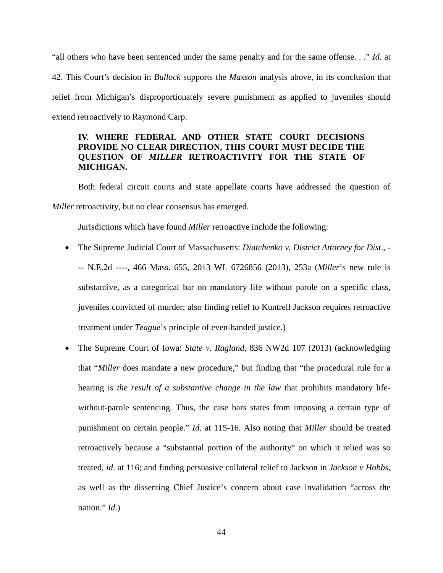"all others who have been sentenced under the same penalty and for the same offense. . ." *Id*. at 42. This Court's decision in *Bullock* supports the *Maxson* analysis above, in its conclusion that relief from Michigan's disproportionately severe punishment as applied to juveniles should extend retroactively to Raymond Carp.

## <span id="page-50-0"></span>**IV. WHERE FEDERAL AND OTHER STATE COURT DECISIONS PROVIDE NO CLEAR DIRECTION, THIS COURT MUST DECIDE THE QUESTION OF** *MILLER* **RETROACTIVITY FOR THE STATE OF MICHIGAN.**

Both federal circuit courts and state appellate courts have addressed the question of *Miller* retroactivity, but no clear consensus has emerged.

Jurisdictions which have found *Miller* retroactive include the following:

- The Supreme Judicial Court of Massachusetts: *Diatchenko v. District Attorney for Dist*., -- N.E.2d ----, 466 Mass. 655, 2013 WL 6726856 (2013), 253a (*Miller*'s new rule is substantive, as a categorical bar on mandatory life without parole on a specific class, juveniles convicted of murder; also finding relief to Kuntrell Jackson requires retroactive treatment under *Teague*'s principle of even-handed justice.)
- The Supreme Court of Iowa: *State v. Ragland*, 836 NW2d 107 (2013) (acknowledging that "*Miller* does mandate a new procedure," but finding that "the procedural rule for a hearing is *the result of a substantive change in the law* that prohibits mandatory lifewithout-parole sentencing. Thus, the case bars states from imposing a certain type of punishment on certain people." *Id*. at 115-16. Also noting that *Miller* should be treated retroactively because a "substantial portion of the authority" on which it relied was so treated, *id*. at 116; and finding persuasive collateral relief to Jackson in *Jackson v Hobbs*, as well as the dissenting Chief Justice's concern about case invalidation "across the nation." *Id*.)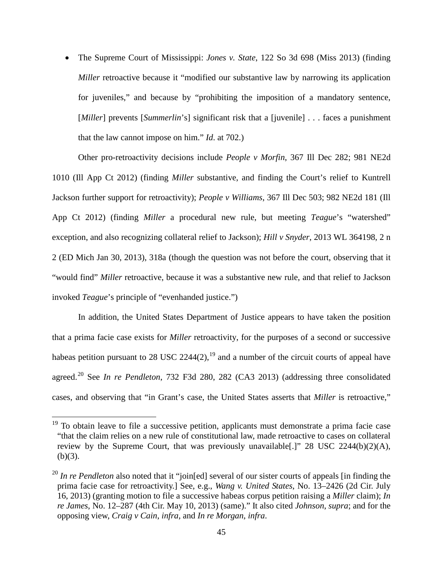• The Supreme Court of Mississippi: *Jones v. State*, 122 So 3d 698 (Miss 2013) (finding *Miller* retroactive because it "modified our substantive law by narrowing its application for juveniles," and because by "prohibiting the imposition of a mandatory sentence, [*Miller*] prevents [*Summerlin's*] significant risk that a [*juvenile*] . . . faces a punishment that the law cannot impose on him." *Id*. at 702.)

Other pro-retroactivity decisions include *People v Morfin*, 367 Ill Dec 282; 981 NE2d 1010 (Ill App Ct 2012) (finding *Miller* substantive, and finding the Court's relief to Kuntrell Jackson further support for retroactivity); *People v Williams*, 367 Ill Dec 503; 982 NE2d 181 (Ill App Ct 2012) (finding *Miller* a procedural new rule, but meeting *Teague*'s "watershed" exception, and also recognizing collateral relief to Jackson); *Hill v Snyder*, 2013 WL 364198, 2 n 2 (ED Mich Jan 30, 2013), 318a (though the question was not before the court, observing that it "would find" *Miller* retroactive, because it was a substantive new rule, and that relief to Jackson invoked *Teague*'s principle of "evenhanded justice.")

In addition, the United States Department of Justice appears to have taken the position that a prima facie case exists for *Miller* retroactivity, for the purposes of a second or successive habeas petition pursuant to 28 USC  $2244(2)$ ,  $19$  and a number of the circuit courts of appeal have agreed. [20](#page-51-1) See *In re Pendleton*, 732 F3d 280, 282 (CA3 2013) (addressing three consolidated cases, and observing that "in Grant's case, the United States asserts that *Miller* is retroactive,"

<span id="page-51-0"></span> $19$  To obtain leave to file a successive petition, applicants must demonstrate a prima facie case "that the claim relies on a new rule of constitutional law, made retroactive to cases on collateral review by the Supreme Court, that was previously unavailable[.]" 28 USC 2244(b)(2)(A),  $(b)(3)$ .

<span id="page-51-1"></span><sup>&</sup>lt;sup>20</sup> *In re Pendleton* also noted that it "join[ed] several of our sister courts of appeals [in finding the prima facie case for retroactivity.] See, e.g., *Wang v. United States*, No. 13–2426 (2d Cir. July 16, 2013) (granting motion to file a successive habeas corpus petition raising a *Miller* claim); *In re James*, No. 12–287 (4th Cir. May 10, 2013) (same)." It also cited *Johnson*, *supra*; and for the opposing view, *Craig v Cain*, *infra*, and *In re Morgan*, *infra*.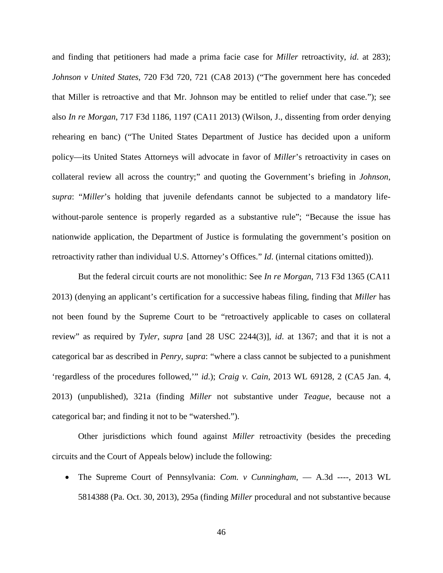and finding that petitioners had made a prima facie case for *Miller* retroactivity, *id*. at 283); *Johnson v United States*, 720 F3d 720, 721 (CA8 2013) ("The government here has conceded that Miller is retroactive and that Mr. Johnson may be entitled to relief under that case."); see also *In re Morgan*, 717 F3d 1186, 1197 (CA11 2013) (Wilson, J., dissenting from order denying rehearing en banc) ("The United States Department of Justice has decided upon a uniform policy—its United States Attorneys will advocate in favor of *Miller*'s retroactivity in cases on collateral review all across the country;" and quoting the Government's briefing in *Johnson*, *supra*: "*Miller*'s holding that juvenile defendants cannot be subjected to a mandatory lifewithout-parole sentence is properly regarded as a substantive rule"; "Because the issue has nationwide application, the Department of Justice is formulating the government's position on retroactivity rather than individual U.S. Attorney's Offices." *Id*. (internal citations omitted)).

But the federal circuit courts are not monolithic: See *In re Morgan*, 713 F3d 1365 (CA11 2013) (denying an applicant's certification for a successive habeas filing, finding that *Miller* has not been found by the Supreme Court to be "retroactively applicable to cases on collateral review" as required by *Tyler*, *supra* [and 28 USC 2244(3)], *id*. at 1367; and that it is not a categorical bar as described in *Penry*, *supra*: "where a class cannot be subjected to a punishment 'regardless of the procedures followed,'" *id*.); *Craig v. Cain*, 2013 WL 69128, 2 (CA5 Jan. 4, 2013) (unpublished), 321a (finding *Miller* not substantive under *Teague*, because not a categorical bar; and finding it not to be "watershed.").

Other jurisdictions which found against *Miller* retroactivity (besides the preceding circuits and the Court of Appeals below) include the following:

• The Supreme Court of Pennsylvania: *Com. v Cunningham*, –– A.3d ----, 2013 WL 5814388 (Pa. Oct. 30, 2013), 295a (finding *Miller* procedural and not substantive because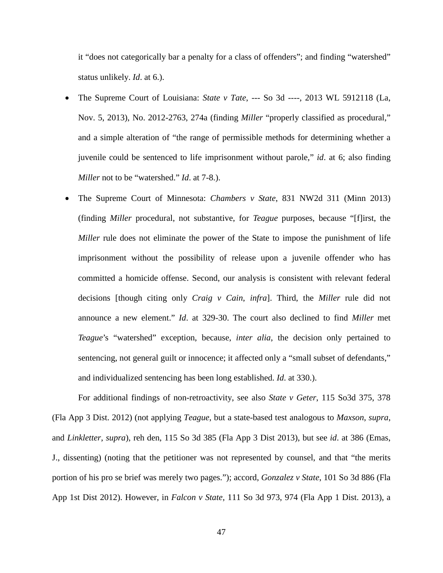it "does not categorically bar a penalty for a class of offenders"; and finding "watershed" status unlikely. *Id*. at 6.).

- The Supreme Court of Louisiana: *State v Tate*, --- So 3d ----, 2013 WL 5912118 (La, Nov. 5, 2013), No. 2012-2763, 274a (finding *Miller* "properly classified as procedural," and a simple alteration of "the range of permissible methods for determining whether a juvenile could be sentenced to life imprisonment without parole," *id*. at 6; also finding *Miller* not to be "watershed." *Id*. at 7-8.).
- The Supreme Court of Minnesota: *Chambers v State*, 831 NW2d 311 (Minn 2013) (finding *Miller* procedural, not substantive, for *Teague* purposes, because "[f]irst, the *Miller* rule does not eliminate the power of the State to impose the punishment of life imprisonment without the possibility of release upon a juvenile offender who has committed a homicide offense. Second, our analysis is consistent with relevant federal decisions [though citing only *Craig v Cain*, *infra*]. Third, the *Miller* rule did not announce a new element." *Id*. at 329-30. The court also declined to find *Miller* met *Teague*'s "watershed" exception, because, *inter alia*, the decision only pertained to sentencing, not general guilt or innocence; it affected only a "small subset of defendants," and individualized sentencing has been long established. *Id*. at 330.).

For additional findings of non-retroactivity, see also *State v Geter*, 115 So3d 375, 378 (Fla App 3 Dist. 2012) (not applying *Teague*, but a state-based test analogous to *Maxson*, *supra*, and *Linkletter*, *supra*), reh den, 115 So 3d 385 (Fla App 3 Dist 2013), but see *id*. at 386 (Emas, J., dissenting) (noting that the petitioner was not represented by counsel, and that "the merits portion of his pro se brief was merely two pages."); accord, *Gonzalez v State*, 101 So 3d 886 (Fla App 1st Dist 2012). However, in *Falcon v State*, 111 So 3d 973, 974 (Fla App 1 Dist. 2013), a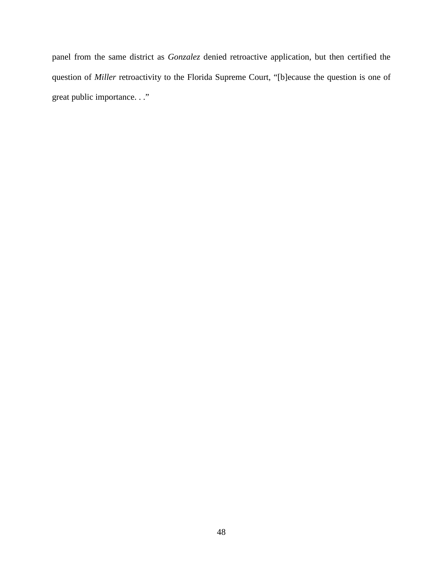panel from the same district as *Gonzalez* denied retroactive application, but then certified the question of *Miller* retroactivity to the Florida Supreme Court, "[b]ecause the question is one of great public importance. . ."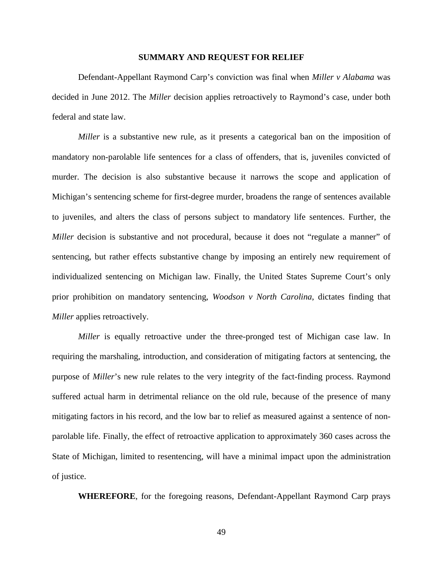#### **SUMMARY AND REQUEST FOR RELIEF**

<span id="page-55-0"></span>Defendant-Appellant Raymond Carp's conviction was final when *Miller v Alabama* was decided in June 2012. The *Miller* decision applies retroactively to Raymond's case, under both federal and state law.

*Miller* is a substantive new rule, as it presents a categorical ban on the imposition of mandatory non-parolable life sentences for a class of offenders, that is, juveniles convicted of murder. The decision is also substantive because it narrows the scope and application of Michigan's sentencing scheme for first-degree murder, broadens the range of sentences available to juveniles, and alters the class of persons subject to mandatory life sentences. Further, the *Miller* decision is substantive and not procedural, because it does not "regulate a manner" of sentencing, but rather effects substantive change by imposing an entirely new requirement of individualized sentencing on Michigan law. Finally, the United States Supreme Court's only prior prohibition on mandatory sentencing, *Woodson v North Carolina*, dictates finding that *Miller* applies retroactively.

*Miller* is equally retroactive under the three-pronged test of Michigan case law. In requiring the marshaling, introduction, and consideration of mitigating factors at sentencing, the purpose of *Miller*'s new rule relates to the very integrity of the fact-finding process. Raymond suffered actual harm in detrimental reliance on the old rule, because of the presence of many mitigating factors in his record, and the low bar to relief as measured against a sentence of nonparolable life. Finally, the effect of retroactive application to approximately 360 cases across the State of Michigan, limited to resentencing, will have a minimal impact upon the administration of justice.

**WHEREFORE**, for the foregoing reasons, Defendant-Appellant Raymond Carp prays